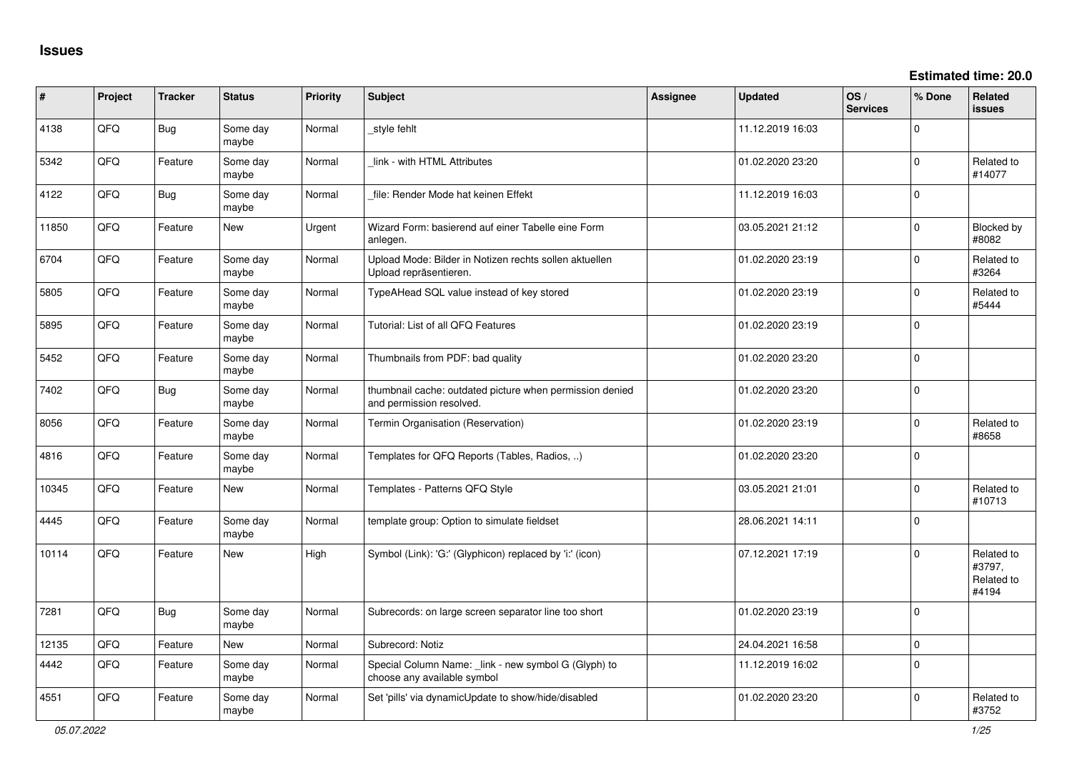**Estimated time: 20.0**

| #     | Project | <b>Tracker</b> | <b>Status</b>     | <b>Priority</b> | <b>Subject</b>                                                                       | Assignee | <b>Updated</b>   | OS/<br><b>Services</b> | % Done         | Related<br>issues                           |
|-------|---------|----------------|-------------------|-----------------|--------------------------------------------------------------------------------------|----------|------------------|------------------------|----------------|---------------------------------------------|
| 4138  | QFQ     | Bug            | Some day<br>maybe | Normal          | _style fehlt                                                                         |          | 11.12.2019 16:03 |                        | $\Omega$       |                                             |
| 5342  | QFQ     | Feature        | Some day<br>maybe | Normal          | link - with HTML Attributes                                                          |          | 01.02.2020 23:20 |                        | $\Omega$       | Related to<br>#14077                        |
| 4122  | QFQ     | Bug            | Some day<br>maybe | Normal          | file: Render Mode hat keinen Effekt                                                  |          | 11.12.2019 16:03 |                        | $\Omega$       |                                             |
| 11850 | QFQ     | Feature        | New               | Urgent          | Wizard Form: basierend auf einer Tabelle eine Form<br>anlegen.                       |          | 03.05.2021 21:12 |                        | $\mathbf 0$    | Blocked by<br>#8082                         |
| 6704  | QFQ     | Feature        | Some day<br>maybe | Normal          | Upload Mode: Bilder in Notizen rechts sollen aktuellen<br>Upload repräsentieren.     |          | 01.02.2020 23:19 |                        | $\Omega$       | Related to<br>#3264                         |
| 5805  | QFQ     | Feature        | Some day<br>maybe | Normal          | TypeAHead SQL value instead of key stored                                            |          | 01.02.2020 23:19 |                        | $\mathbf 0$    | Related to<br>#5444                         |
| 5895  | QFQ     | Feature        | Some day<br>maybe | Normal          | Tutorial: List of all QFQ Features                                                   |          | 01.02.2020 23:19 |                        | $\Omega$       |                                             |
| 5452  | QFQ     | Feature        | Some day<br>maybe | Normal          | Thumbnails from PDF: bad quality                                                     |          | 01.02.2020 23:20 |                        | $\Omega$       |                                             |
| 7402  | QFQ     | Bug            | Some day<br>maybe | Normal          | thumbnail cache: outdated picture when permission denied<br>and permission resolved. |          | 01.02.2020 23:20 |                        | $\overline{0}$ |                                             |
| 8056  | QFQ     | Feature        | Some day<br>maybe | Normal          | Termin Organisation (Reservation)                                                    |          | 01.02.2020 23:19 |                        | 0              | Related to<br>#8658                         |
| 4816  | QFQ     | Feature        | Some day<br>maybe | Normal          | Templates for QFQ Reports (Tables, Radios, )                                         |          | 01.02.2020 23:20 |                        | $\mathbf 0$    |                                             |
| 10345 | QFQ     | Feature        | <b>New</b>        | Normal          | Templates - Patterns QFQ Style                                                       |          | 03.05.2021 21:01 |                        | $\Omega$       | Related to<br>#10713                        |
| 4445  | QFQ     | Feature        | Some day<br>maybe | Normal          | template group: Option to simulate fieldset                                          |          | 28.06.2021 14:11 |                        | $\overline{0}$ |                                             |
| 10114 | QFQ     | Feature        | <b>New</b>        | High            | Symbol (Link): 'G:' (Glyphicon) replaced by 'i:' (icon)                              |          | 07.12.2021 17:19 |                        | $\Omega$       | Related to<br>#3797,<br>Related to<br>#4194 |
| 7281  | QFQ     | <b>Bug</b>     | Some day<br>maybe | Normal          | Subrecords: on large screen separator line too short                                 |          | 01.02.2020 23:19 |                        | $\Omega$       |                                             |
| 12135 | QFQ     | Feature        | New               | Normal          | Subrecord: Notiz                                                                     |          | 24.04.2021 16:58 |                        | $\mathbf 0$    |                                             |
| 4442  | QFQ     | Feature        | Some day<br>maybe | Normal          | Special Column Name: _link - new symbol G (Glyph) to<br>choose any available symbol  |          | 11.12.2019 16:02 |                        | $\mathbf 0$    |                                             |
| 4551  | QFQ     | Feature        | Some day<br>maybe | Normal          | Set 'pills' via dynamicUpdate to show/hide/disabled                                  |          | 01.02.2020 23:20 |                        | $\Omega$       | Related to<br>#3752                         |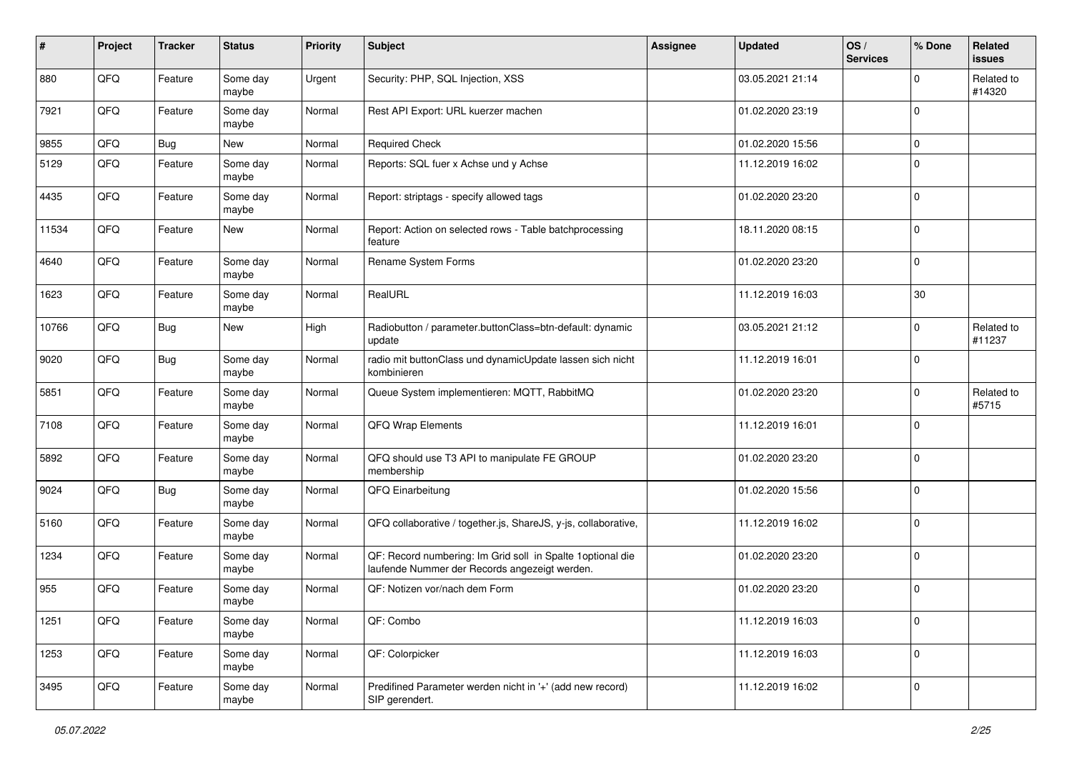| #     | Project | <b>Tracker</b> | <b>Status</b>     | <b>Priority</b> | <b>Subject</b>                                                                                               | Assignee | <b>Updated</b>   | OS/<br><b>Services</b> | % Done              | Related<br>issues    |
|-------|---------|----------------|-------------------|-----------------|--------------------------------------------------------------------------------------------------------------|----------|------------------|------------------------|---------------------|----------------------|
| 880   | QFQ     | Feature        | Some day<br>maybe | Urgent          | Security: PHP, SQL Injection, XSS                                                                            |          | 03.05.2021 21:14 |                        | 0                   | Related to<br>#14320 |
| 7921  | QFQ     | Feature        | Some day<br>maybe | Normal          | Rest API Export: URL kuerzer machen                                                                          |          | 01.02.2020 23:19 |                        | $\mathbf 0$         |                      |
| 9855  | QFQ     | <b>Bug</b>     | New               | Normal          | <b>Required Check</b>                                                                                        |          | 01.02.2020 15:56 |                        | 0                   |                      |
| 5129  | QFQ     | Feature        | Some day<br>maybe | Normal          | Reports: SQL fuer x Achse und y Achse                                                                        |          | 11.12.2019 16:02 |                        | $\mathbf 0$         |                      |
| 4435  | QFQ     | Feature        | Some day<br>maybe | Normal          | Report: striptags - specify allowed tags                                                                     |          | 01.02.2020 23:20 |                        | $\Omega$            |                      |
| 11534 | QFQ     | Feature        | New               | Normal          | Report: Action on selected rows - Table batchprocessing<br>feature                                           |          | 18.11.2020 08:15 |                        | $\mathbf 0$         |                      |
| 4640  | QFQ     | Feature        | Some day<br>maybe | Normal          | Rename System Forms                                                                                          |          | 01.02.2020 23:20 |                        | 0                   |                      |
| 1623  | QFQ     | Feature        | Some day<br>maybe | Normal          | RealURL                                                                                                      |          | 11.12.2019 16:03 |                        | 30                  |                      |
| 10766 | QFQ     | <b>Bug</b>     | <b>New</b>        | High            | Radiobutton / parameter.buttonClass=btn-default: dynamic<br>update                                           |          | 03.05.2021 21:12 |                        | $\mathbf 0$         | Related to<br>#11237 |
| 9020  | QFQ     | Bug            | Some day<br>maybe | Normal          | radio mit buttonClass und dynamicUpdate lassen sich nicht<br>kombinieren                                     |          | 11.12.2019 16:01 |                        | $\mathbf 0$         |                      |
| 5851  | QFQ     | Feature        | Some day<br>maybe | Normal          | Queue System implementieren: MQTT, RabbitMQ                                                                  |          | 01.02.2020 23:20 |                        | $\mathbf 0$         | Related to<br>#5715  |
| 7108  | QFQ     | Feature        | Some day<br>maybe | Normal          | QFQ Wrap Elements                                                                                            |          | 11.12.2019 16:01 |                        | $\mathbf 0$         |                      |
| 5892  | QFQ     | Feature        | Some day<br>maybe | Normal          | QFQ should use T3 API to manipulate FE GROUP<br>membership                                                   |          | 01.02.2020 23:20 |                        | $\mathbf 0$         |                      |
| 9024  | QFQ     | <b>Bug</b>     | Some day<br>maybe | Normal          | QFQ Einarbeitung                                                                                             |          | 01.02.2020 15:56 |                        | $\mathbf 0$         |                      |
| 5160  | QFQ     | Feature        | Some day<br>maybe | Normal          | QFQ collaborative / together.js, ShareJS, y-js, collaborative,                                               |          | 11.12.2019 16:02 |                        | $\mathbf 0$         |                      |
| 1234  | QFQ     | Feature        | Some day<br>maybe | Normal          | QF: Record numbering: Im Grid soll in Spalte 1 optional die<br>laufende Nummer der Records angezeigt werden. |          | 01.02.2020 23:20 |                        | $\mathbf 0$         |                      |
| 955   | QFQ     | Feature        | Some day<br>maybe | Normal          | QF: Notizen vor/nach dem Form                                                                                |          | 01.02.2020 23:20 |                        | $\mathbf 0$         |                      |
| 1251  | QFQ     | Feature        | Some day<br>maybe | Normal          | QF: Combo                                                                                                    |          | 11.12.2019 16:03 |                        | 0                   |                      |
| 1253  | QFQ     | Feature        | Some day<br>maybe | Normal          | QF: Colorpicker                                                                                              |          | 11.12.2019 16:03 |                        | $\mathsf{O}\xspace$ |                      |
| 3495  | QFQ     | Feature        | Some day<br>maybe | Normal          | Predifined Parameter werden nicht in '+' (add new record)<br>SIP gerendert.                                  |          | 11.12.2019 16:02 |                        | 0                   |                      |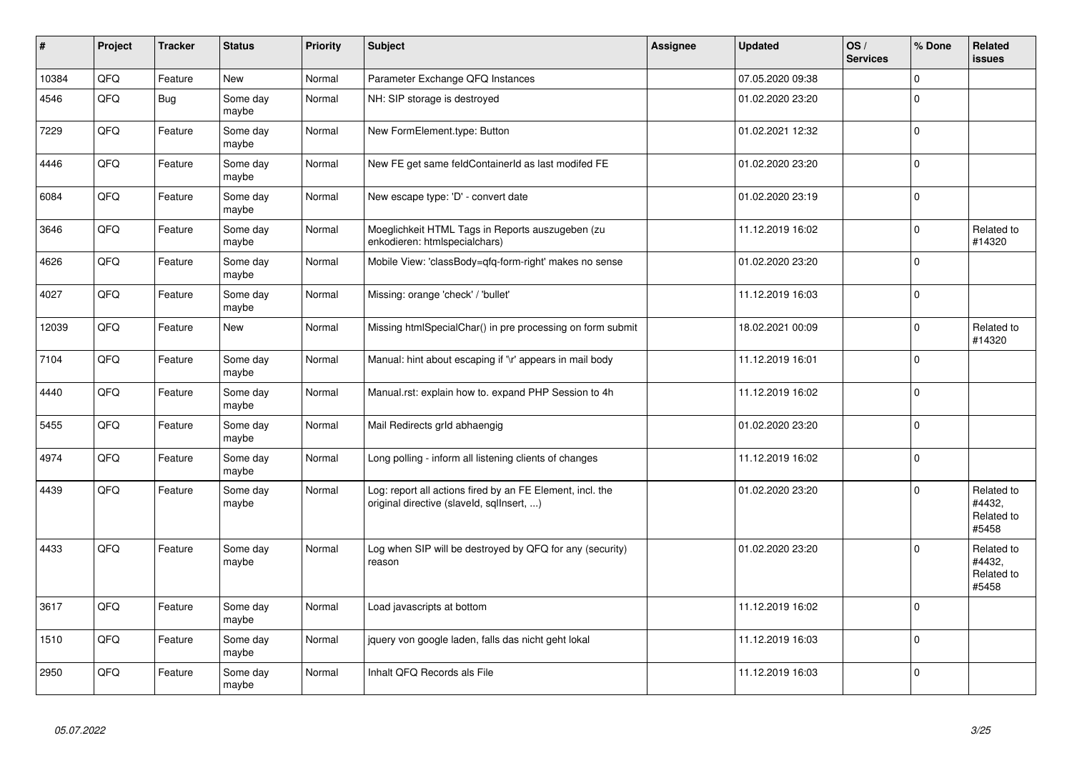| $\sharp$ | Project | <b>Tracker</b> | <b>Status</b>     | <b>Priority</b> | <b>Subject</b>                                                                                         | <b>Assignee</b> | <b>Updated</b>   | OS/<br><b>Services</b> | % Done      | Related<br><b>issues</b>                    |
|----------|---------|----------------|-------------------|-----------------|--------------------------------------------------------------------------------------------------------|-----------------|------------------|------------------------|-------------|---------------------------------------------|
| 10384    | QFQ     | Feature        | <b>New</b>        | Normal          | Parameter Exchange QFQ Instances                                                                       |                 | 07.05.2020 09:38 |                        | $\Omega$    |                                             |
| 4546     | QFQ     | Bug            | Some day<br>maybe | Normal          | NH: SIP storage is destroyed                                                                           |                 | 01.02.2020 23:20 |                        | $\Omega$    |                                             |
| 7229     | QFQ     | Feature        | Some day<br>maybe | Normal          | New FormElement.type: Button                                                                           |                 | 01.02.2021 12:32 |                        | $\Omega$    |                                             |
| 4446     | QFQ     | Feature        | Some day<br>maybe | Normal          | New FE get same feldContainerId as last modifed FE                                                     |                 | 01.02.2020 23:20 |                        | $\mathbf 0$ |                                             |
| 6084     | QFQ     | Feature        | Some day<br>maybe | Normal          | New escape type: 'D' - convert date                                                                    |                 | 01.02.2020 23:19 |                        | $\mathbf 0$ |                                             |
| 3646     | QFQ     | Feature        | Some day<br>maybe | Normal          | Moeglichkeit HTML Tags in Reports auszugeben (zu<br>enkodieren: htmlspecialchars)                      |                 | 11.12.2019 16:02 |                        | $\Omega$    | Related to<br>#14320                        |
| 4626     | QFQ     | Feature        | Some day<br>maybe | Normal          | Mobile View: 'classBody=qfq-form-right' makes no sense                                                 |                 | 01.02.2020 23:20 |                        | $\Omega$    |                                             |
| 4027     | QFQ     | Feature        | Some day<br>maybe | Normal          | Missing: orange 'check' / 'bullet'                                                                     |                 | 11.12.2019 16:03 |                        | $\Omega$    |                                             |
| 12039    | QFQ     | Feature        | <b>New</b>        | Normal          | Missing htmlSpecialChar() in pre processing on form submit                                             |                 | 18.02.2021 00:09 |                        | $\Omega$    | Related to<br>#14320                        |
| 7104     | QFQ     | Feature        | Some day<br>maybe | Normal          | Manual: hint about escaping if '\r' appears in mail body                                               |                 | 11.12.2019 16:01 |                        | $\Omega$    |                                             |
| 4440     | QFQ     | Feature        | Some day<br>maybe | Normal          | Manual.rst: explain how to. expand PHP Session to 4h                                                   |                 | 11.12.2019 16:02 |                        | $\Omega$    |                                             |
| 5455     | QFQ     | Feature        | Some day<br>maybe | Normal          | Mail Redirects grld abhaengig                                                                          |                 | 01.02.2020 23:20 |                        | $\Omega$    |                                             |
| 4974     | QFQ     | Feature        | Some day<br>maybe | Normal          | Long polling - inform all listening clients of changes                                                 |                 | 11.12.2019 16:02 |                        | $\Omega$    |                                             |
| 4439     | QFQ     | Feature        | Some day<br>maybe | Normal          | Log: report all actions fired by an FE Element, incl. the<br>original directive (slaveld, sqllnsert, ) |                 | 01.02.2020 23:20 |                        | $\Omega$    | Related to<br>#4432,<br>Related to<br>#5458 |
| 4433     | QFQ     | Feature        | Some day<br>maybe | Normal          | Log when SIP will be destroyed by QFQ for any (security)<br>reason                                     |                 | 01.02.2020 23:20 |                        | $\Omega$    | Related to<br>#4432,<br>Related to<br>#5458 |
| 3617     | QFQ     | Feature        | Some day<br>maybe | Normal          | Load javascripts at bottom                                                                             |                 | 11.12.2019 16:02 |                        | $\Omega$    |                                             |
| 1510     | QFQ     | Feature        | Some day<br>maybe | Normal          | jquery von google laden, falls das nicht geht lokal                                                    |                 | 11.12.2019 16:03 |                        | $\Omega$    |                                             |
| 2950     | QFQ     | Feature        | Some day<br>maybe | Normal          | Inhalt QFQ Records als File                                                                            |                 | 11.12.2019 16:03 |                        | $\Omega$    |                                             |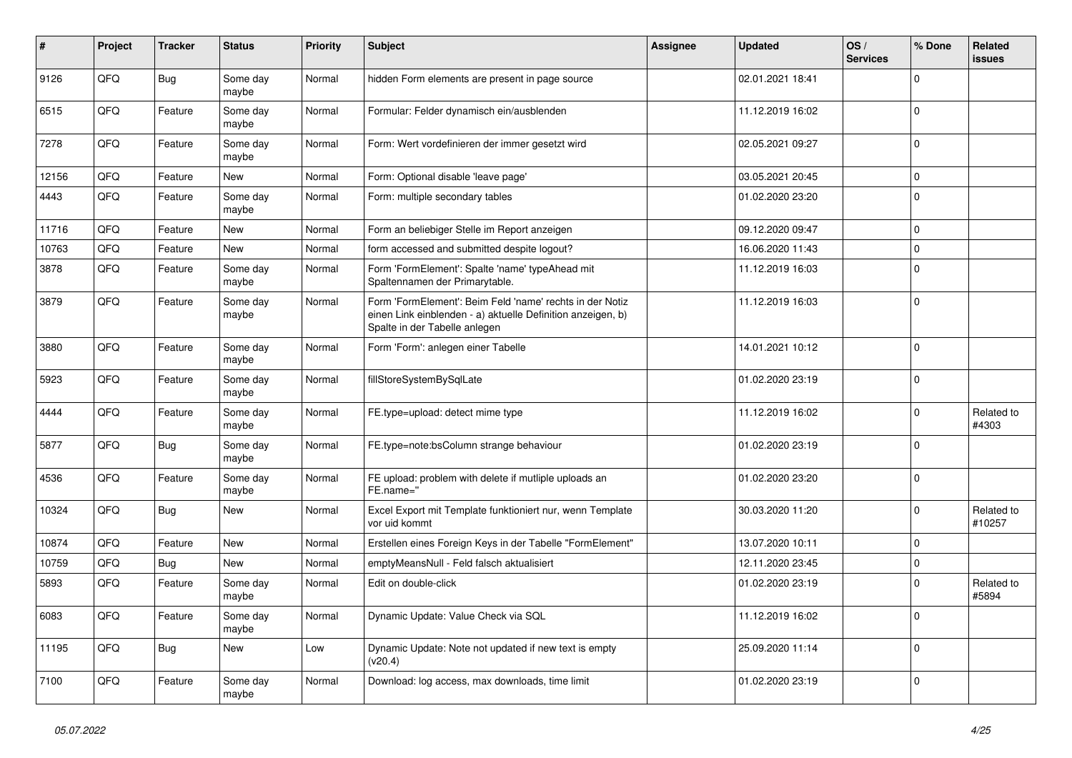| ∦     | Project | <b>Tracker</b> | <b>Status</b>     | <b>Priority</b> | <b>Subject</b>                                                                                                                                           | Assignee | <b>Updated</b>   | OS/<br><b>Services</b> | % Done      | Related<br>issues    |
|-------|---------|----------------|-------------------|-----------------|----------------------------------------------------------------------------------------------------------------------------------------------------------|----------|------------------|------------------------|-------------|----------------------|
| 9126  | QFQ     | Bug            | Some day<br>maybe | Normal          | hidden Form elements are present in page source                                                                                                          |          | 02.01.2021 18:41 |                        | $\mathbf 0$ |                      |
| 6515  | QFQ     | Feature        | Some day<br>maybe | Normal          | Formular: Felder dynamisch ein/ausblenden                                                                                                                |          | 11.12.2019 16:02 |                        | $\mathbf 0$ |                      |
| 7278  | QFQ     | Feature        | Some day<br>maybe | Normal          | Form: Wert vordefinieren der immer gesetzt wird                                                                                                          |          | 02.05.2021 09:27 |                        | $\Omega$    |                      |
| 12156 | QFQ     | Feature        | <b>New</b>        | Normal          | Form: Optional disable 'leave page'                                                                                                                      |          | 03.05.2021 20:45 |                        | $\mathbf 0$ |                      |
| 4443  | QFQ     | Feature        | Some day<br>maybe | Normal          | Form: multiple secondary tables                                                                                                                          |          | 01.02.2020 23:20 |                        | $\Omega$    |                      |
| 11716 | QFQ     | Feature        | <b>New</b>        | Normal          | Form an beliebiger Stelle im Report anzeigen                                                                                                             |          | 09.12.2020 09:47 |                        | $\mathbf 0$ |                      |
| 10763 | QFQ     | Feature        | <b>New</b>        | Normal          | form accessed and submitted despite logout?                                                                                                              |          | 16.06.2020 11:43 |                        | $\mathbf 0$ |                      |
| 3878  | QFQ     | Feature        | Some day<br>maybe | Normal          | Form 'FormElement': Spalte 'name' typeAhead mit<br>Spaltennamen der Primarytable.                                                                        |          | 11.12.2019 16:03 |                        | $\Omega$    |                      |
| 3879  | QFQ     | Feature        | Some day<br>maybe | Normal          | Form 'FormElement': Beim Feld 'name' rechts in der Notiz<br>einen Link einblenden - a) aktuelle Definition anzeigen, b)<br>Spalte in der Tabelle anlegen |          | 11.12.2019 16:03 |                        | $\mathbf 0$ |                      |
| 3880  | QFQ     | Feature        | Some day<br>maybe | Normal          | Form 'Form': anlegen einer Tabelle                                                                                                                       |          | 14.01.2021 10:12 |                        | $\Omega$    |                      |
| 5923  | QFQ     | Feature        | Some day<br>maybe | Normal          | fillStoreSystemBySqlLate                                                                                                                                 |          | 01.02.2020 23:19 |                        | $\Omega$    |                      |
| 4444  | QFQ     | Feature        | Some day<br>maybe | Normal          | FE.type=upload: detect mime type                                                                                                                         |          | 11.12.2019 16:02 |                        | $\mathbf 0$ | Related to<br>#4303  |
| 5877  | QFQ     | <b>Bug</b>     | Some day<br>maybe | Normal          | FE.type=note:bsColumn strange behaviour                                                                                                                  |          | 01.02.2020 23:19 |                        | $\mathbf 0$ |                      |
| 4536  | QFQ     | Feature        | Some day<br>maybe | Normal          | FE upload: problem with delete if mutliple uploads an<br>FE.name="                                                                                       |          | 01.02.2020 23:20 |                        | $\Omega$    |                      |
| 10324 | QFQ     | <b>Bug</b>     | <b>New</b>        | Normal          | Excel Export mit Template funktioniert nur, wenn Template<br>vor uid kommt                                                                               |          | 30.03.2020 11:20 |                        | $\Omega$    | Related to<br>#10257 |
| 10874 | QFQ     | Feature        | <b>New</b>        | Normal          | Erstellen eines Foreign Keys in der Tabelle "FormElement"                                                                                                |          | 13.07.2020 10:11 |                        | $\mathbf 0$ |                      |
| 10759 | QFQ     | Bug            | <b>New</b>        | Normal          | emptyMeansNull - Feld falsch aktualisiert                                                                                                                |          | 12.11.2020 23:45 |                        | $\mathbf 0$ |                      |
| 5893  | QFQ     | Feature        | Some day<br>maybe | Normal          | Edit on double-click                                                                                                                                     |          | 01.02.2020 23:19 |                        | $\mathbf 0$ | Related to<br>#5894  |
| 6083  | QFQ     | Feature        | Some day<br>maybe | Normal          | Dynamic Update: Value Check via SQL                                                                                                                      |          | 11.12.2019 16:02 |                        | $\Omega$    |                      |
| 11195 | QFQ     | <b>Bug</b>     | <b>New</b>        | Low             | Dynamic Update: Note not updated if new text is empty<br>(v20.4)                                                                                         |          | 25.09.2020 11:14 |                        | $\Omega$    |                      |
| 7100  | QFQ     | Feature        | Some day<br>maybe | Normal          | Download: log access, max downloads, time limit                                                                                                          |          | 01.02.2020 23:19 |                        | $\Omega$    |                      |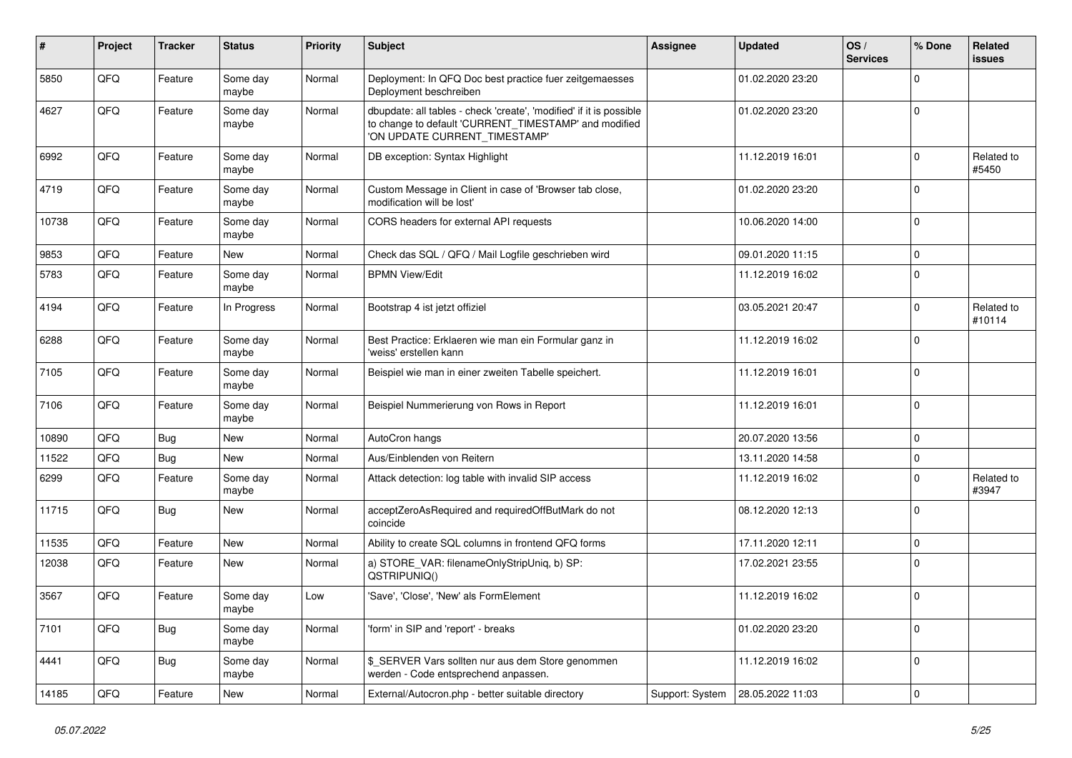| #     | Project | <b>Tracker</b> | <b>Status</b>     | <b>Priority</b> | <b>Subject</b>                                                                                                                                                | <b>Assignee</b> | <b>Updated</b>   | OS/<br><b>Services</b> | % Done      | Related<br>issues    |
|-------|---------|----------------|-------------------|-----------------|---------------------------------------------------------------------------------------------------------------------------------------------------------------|-----------------|------------------|------------------------|-------------|----------------------|
| 5850  | QFQ     | Feature        | Some day<br>maybe | Normal          | Deployment: In QFQ Doc best practice fuer zeitgemaesses<br>Deployment beschreiben                                                                             |                 | 01.02.2020 23:20 |                        | $\Omega$    |                      |
| 4627  | QFQ     | Feature        | Some day<br>maybe | Normal          | dbupdate: all tables - check 'create', 'modified' if it is possible<br>to change to default 'CURRENT_TIMESTAMP' and modified<br>'ON UPDATE CURRENT_TIMESTAMP' |                 | 01.02.2020 23:20 |                        | 0           |                      |
| 6992  | QFQ     | Feature        | Some day<br>maybe | Normal          | DB exception: Syntax Highlight                                                                                                                                |                 | 11.12.2019 16:01 |                        | $\Omega$    | Related to<br>#5450  |
| 4719  | QFQ     | Feature        | Some day<br>maybe | Normal          | Custom Message in Client in case of 'Browser tab close,<br>modification will be lost'                                                                         |                 | 01.02.2020 23:20 |                        | $\Omega$    |                      |
| 10738 | QFQ     | Feature        | Some day<br>maybe | Normal          | CORS headers for external API requests                                                                                                                        |                 | 10.06.2020 14:00 |                        | $\mathbf 0$ |                      |
| 9853  | QFQ     | Feature        | <b>New</b>        | Normal          | Check das SQL / QFQ / Mail Logfile geschrieben wird                                                                                                           |                 | 09.01.2020 11:15 |                        | $\mathbf 0$ |                      |
| 5783  | QFQ     | Feature        | Some day<br>maybe | Normal          | <b>BPMN View/Edit</b>                                                                                                                                         |                 | 11.12.2019 16:02 |                        | $\Omega$    |                      |
| 4194  | QFQ     | Feature        | In Progress       | Normal          | Bootstrap 4 ist jetzt offiziel                                                                                                                                |                 | 03.05.2021 20:47 |                        | $\Omega$    | Related to<br>#10114 |
| 6288  | QFQ     | Feature        | Some day<br>maybe | Normal          | Best Practice: Erklaeren wie man ein Formular ganz in<br>'weiss' erstellen kann                                                                               |                 | 11.12.2019 16:02 |                        | $\mathbf 0$ |                      |
| 7105  | QFQ     | Feature        | Some day<br>maybe | Normal          | Beispiel wie man in einer zweiten Tabelle speichert.                                                                                                          |                 | 11.12.2019 16:01 |                        | $\Omega$    |                      |
| 7106  | QFQ     | Feature        | Some day<br>maybe | Normal          | Beispiel Nummerierung von Rows in Report                                                                                                                      |                 | 11.12.2019 16:01 |                        | $\mathbf 0$ |                      |
| 10890 | QFQ     | Bug            | New               | Normal          | AutoCron hangs                                                                                                                                                |                 | 20.07.2020 13:56 |                        | $\mathbf 0$ |                      |
| 11522 | QFQ     | Bug            | New               | Normal          | Aus/Einblenden von Reitern                                                                                                                                    |                 | 13.11.2020 14:58 |                        | 0           |                      |
| 6299  | QFQ     | Feature        | Some day<br>maybe | Normal          | Attack detection: log table with invalid SIP access                                                                                                           |                 | 11.12.2019 16:02 |                        | $\mathbf 0$ | Related to<br>#3947  |
| 11715 | QFQ     | <b>Bug</b>     | <b>New</b>        | Normal          | acceptZeroAsRequired and requiredOffButMark do not<br>coincide                                                                                                |                 | 08.12.2020 12:13 |                        | $\Omega$    |                      |
| 11535 | QFQ     | Feature        | New               | Normal          | Ability to create SQL columns in frontend QFQ forms                                                                                                           |                 | 17.11.2020 12:11 |                        | $\mathbf 0$ |                      |
| 12038 | QFQ     | Feature        | <b>New</b>        | Normal          | a) STORE_VAR: filenameOnlyStripUniq, b) SP:<br>QSTRIPUNIQ()                                                                                                   |                 | 17.02.2021 23:55 |                        | $\Omega$    |                      |
| 3567  | QFQ     | Feature        | Some day<br>maybe | Low             | 'Save', 'Close', 'New' als FormElement                                                                                                                        |                 | 11.12.2019 16:02 |                        | $\mathbf 0$ |                      |
| 7101  | QFO     | <b>Bug</b>     | Some day<br>maybe | Normal          | 'form' in SIP and 'report' - breaks                                                                                                                           |                 | 01.02.2020 23:20 |                        | $\mathbf 0$ |                      |
| 4441  | QFQ     | <b>Bug</b>     | Some day<br>maybe | Normal          | \$_SERVER Vars sollten nur aus dem Store genommen<br>werden - Code entsprechend anpassen.                                                                     |                 | 11.12.2019 16:02 |                        | $\mathbf 0$ |                      |
| 14185 | QFQ     | Feature        | New               | Normal          | External/Autocron.php - better suitable directory                                                                                                             | Support: System | 28.05.2022 11:03 |                        | $\mathbf 0$ |                      |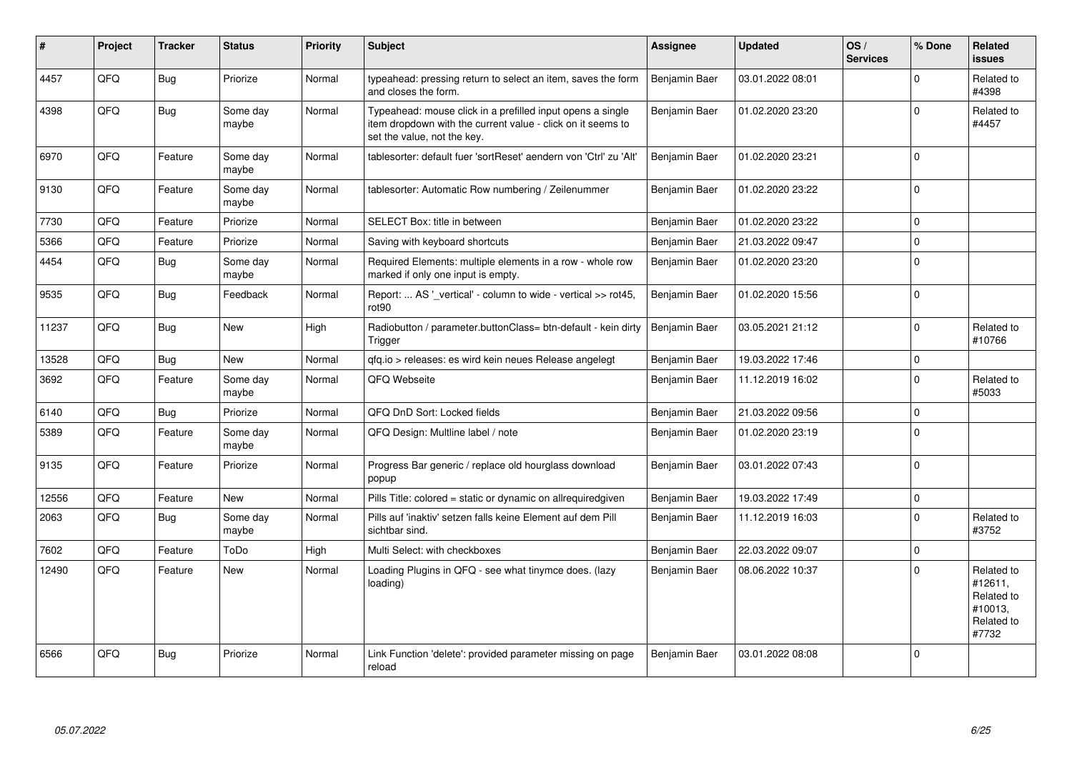| #     | Project | <b>Tracker</b> | <b>Status</b>     | <b>Priority</b> | <b>Subject</b>                                                                                                                                           | <b>Assignee</b> | <b>Updated</b>   | OS/<br><b>Services</b> | % Done      | Related<br><b>issues</b>                                              |
|-------|---------|----------------|-------------------|-----------------|----------------------------------------------------------------------------------------------------------------------------------------------------------|-----------------|------------------|------------------------|-------------|-----------------------------------------------------------------------|
| 4457  | QFQ     | Bug            | Priorize          | Normal          | typeahead: pressing return to select an item, saves the form<br>and closes the form.                                                                     | Benjamin Baer   | 03.01.2022 08:01 |                        | $\Omega$    | Related to<br>#4398                                                   |
| 4398  | QFQ     | Bug            | Some day<br>maybe | Normal          | Typeahead: mouse click in a prefilled input opens a single<br>item dropdown with the current value - click on it seems to<br>set the value, not the key. | Benjamin Baer   | 01.02.2020 23:20 |                        | $\Omega$    | Related to<br>#4457                                                   |
| 6970  | QFQ     | Feature        | Some day<br>maybe | Normal          | tablesorter: default fuer 'sortReset' aendern von 'Ctrl' zu 'Alt'                                                                                        | Benjamin Baer   | 01.02.2020 23:21 |                        | $\Omega$    |                                                                       |
| 9130  | QFQ     | Feature        | Some day<br>maybe | Normal          | tablesorter: Automatic Row numbering / Zeilenummer                                                                                                       | Benjamin Baer   | 01.02.2020 23:22 |                        | $\mathbf 0$ |                                                                       |
| 7730  | QFQ     | Feature        | Priorize          | Normal          | SELECT Box: title in between                                                                                                                             | Benjamin Baer   | 01.02.2020 23:22 |                        | $\Omega$    |                                                                       |
| 5366  | QFQ     | Feature        | Priorize          | Normal          | Saving with keyboard shortcuts                                                                                                                           | Benjamin Baer   | 21.03.2022 09:47 |                        | $\mathbf 0$ |                                                                       |
| 4454  | QFQ     | Bug            | Some day<br>maybe | Normal          | Required Elements: multiple elements in a row - whole row<br>marked if only one input is empty.                                                          | Benjamin Baer   | 01.02.2020 23:20 |                        | ١o          |                                                                       |
| 9535  | QFQ     | Bug            | Feedback          | Normal          | Report:  AS ' vertical' - column to wide - vertical >> rot45,<br>rot <sub>90</sub>                                                                       | Benjamin Baer   | 01.02.2020 15:56 |                        | $\Omega$    |                                                                       |
| 11237 | QFQ     | Bug            | <b>New</b>        | High            | Radiobutton / parameter.buttonClass= btn-default - kein dirty<br>Trigger                                                                                 | Benjamin Baer   | 03.05.2021 21:12 |                        | $\Omega$    | Related to<br>#10766                                                  |
| 13528 | QFQ     | Bug            | <b>New</b>        | Normal          | gfg.io > releases: es wird kein neues Release angelegt                                                                                                   | Benjamin Baer   | 19.03.2022 17:46 |                        | l 0         |                                                                       |
| 3692  | QFQ     | Feature        | Some day<br>maybe | Normal          | QFQ Webseite                                                                                                                                             | Benjamin Baer   | 11.12.2019 16:02 |                        | $\Omega$    | Related to<br>#5033                                                   |
| 6140  | QFQ     | Bug            | Priorize          | Normal          | QFQ DnD Sort: Locked fields                                                                                                                              | Benjamin Baer   | 21.03.2022 09:56 |                        | l 0         |                                                                       |
| 5389  | QFQ     | Feature        | Some day<br>maybe | Normal          | QFQ Design: Multline label / note                                                                                                                        | Benjamin Baer   | 01.02.2020 23:19 |                        | l 0         |                                                                       |
| 9135  | QFQ     | Feature        | Priorize          | Normal          | Progress Bar generic / replace old hourglass download<br>popup                                                                                           | Benjamin Baer   | 03.01.2022 07:43 |                        | $\Omega$    |                                                                       |
| 12556 | QFQ     | Feature        | <b>New</b>        | Normal          | Pills Title: colored = static or dynamic on allrequiredgiven                                                                                             | Benjamin Baer   | 19.03.2022 17:49 |                        | I٥          |                                                                       |
| 2063  | QFQ     | Bug            | Some day<br>maybe | Normal          | Pills auf 'inaktiv' setzen falls keine Element auf dem Pill<br>sichtbar sind.                                                                            | Benjamin Baer   | 11.12.2019 16:03 |                        | $\Omega$    | Related to<br>#3752                                                   |
| 7602  | QFQ     | Feature        | ToDo              | High            | Multi Select: with checkboxes                                                                                                                            | Benjamin Baer   | 22.03.2022 09:07 |                        | $\mathbf 0$ |                                                                       |
| 12490 | QFQ     | Feature        | <b>New</b>        | Normal          | Loading Plugins in QFQ - see what tinymce does. (lazy<br>loading)                                                                                        | Benjamin Baer   | 08.06.2022 10:37 |                        | $\Omega$    | Related to<br>#12611,<br>Related to<br>#10013,<br>Related to<br>#7732 |
| 6566  | QFQ     | Bug            | Priorize          | Normal          | Link Function 'delete': provided parameter missing on page<br>reload                                                                                     | Benjamin Baer   | 03.01.2022 08:08 |                        | l 0         |                                                                       |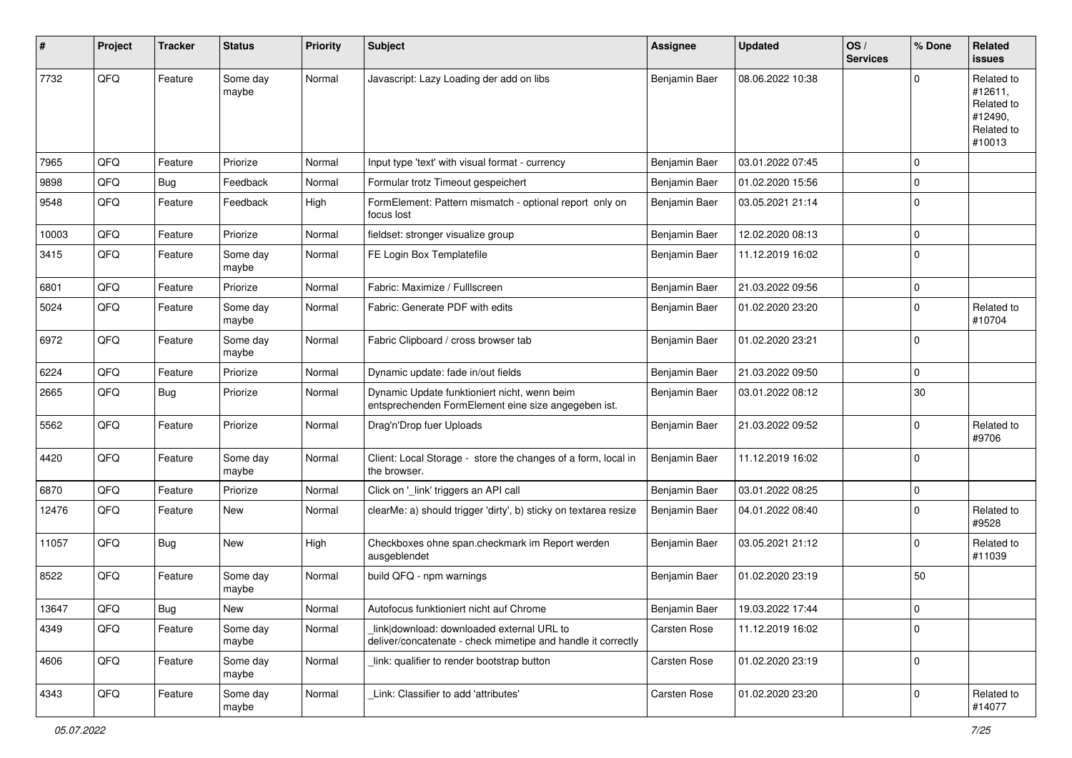| ∦     | Project | <b>Tracker</b> | <b>Status</b>     | <b>Priority</b> | Subject                                                                                                   | <b>Assignee</b>     | <b>Updated</b>   | OS/<br><b>Services</b> | % Done       | Related<br>issues                                                      |
|-------|---------|----------------|-------------------|-----------------|-----------------------------------------------------------------------------------------------------------|---------------------|------------------|------------------------|--------------|------------------------------------------------------------------------|
| 7732  | QFQ     | Feature        | Some day<br>maybe | Normal          | Javascript: Lazy Loading der add on libs                                                                  | Benjamin Baer       | 08.06.2022 10:38 |                        | <sup>o</sup> | Related to<br>#12611,<br>Related to<br>#12490,<br>Related to<br>#10013 |
| 7965  | QFQ     | Feature        | Priorize          | Normal          | Input type 'text' with visual format - currency                                                           | Benjamin Baer       | 03.01.2022 07:45 |                        | $\mathbf 0$  |                                                                        |
| 9898  | QFQ     | Bug            | Feedback          | Normal          | Formular trotz Timeout gespeichert                                                                        | Benjamin Baer       | 01.02.2020 15:56 |                        | 0            |                                                                        |
| 9548  | QFQ     | Feature        | Feedback          | High            | FormElement: Pattern mismatch - optional report only on<br>focus lost                                     | Benjamin Baer       | 03.05.2021 21:14 |                        | $\Omega$     |                                                                        |
| 10003 | QFQ     | Feature        | Priorize          | Normal          | fieldset: stronger visualize group                                                                        | Benjamin Baer       | 12.02.2020 08:13 |                        | $\mathbf 0$  |                                                                        |
| 3415  | QFQ     | Feature        | Some day<br>maybe | Normal          | FE Login Box Templatefile                                                                                 | Benjamin Baer       | 11.12.2019 16:02 |                        | $\Omega$     |                                                                        |
| 6801  | QFQ     | Feature        | Priorize          | Normal          | Fabric: Maximize / FullIscreen                                                                            | Benjamin Baer       | 21.03.2022 09:56 |                        | $\mathbf 0$  |                                                                        |
| 5024  | QFQ     | Feature        | Some day<br>maybe | Normal          | Fabric: Generate PDF with edits                                                                           | Benjamin Baer       | 01.02.2020 23:20 |                        | $\Omega$     | Related to<br>#10704                                                   |
| 6972  | QFQ     | Feature        | Some day<br>maybe | Normal          | Fabric Clipboard / cross browser tab                                                                      | Benjamin Baer       | 01.02.2020 23:21 |                        | $\mathbf 0$  |                                                                        |
| 6224  | QFQ     | Feature        | Priorize          | Normal          | Dynamic update: fade in/out fields                                                                        | Benjamin Baer       | 21.03.2022 09:50 |                        | $\Omega$     |                                                                        |
| 2665  | QFQ     | Bug            | Priorize          | Normal          | Dynamic Update funktioniert nicht, wenn beim<br>entsprechenden FormElement eine size angegeben ist.       | Benjamin Baer       | 03.01.2022 08:12 |                        | 30           |                                                                        |
| 5562  | QFQ     | Feature        | Priorize          | Normal          | Drag'n'Drop fuer Uploads                                                                                  | Benjamin Baer       | 21.03.2022 09:52 |                        | $\Omega$     | Related to<br>#9706                                                    |
| 4420  | QFQ     | Feature        | Some day<br>maybe | Normal          | Client: Local Storage - store the changes of a form, local in<br>the browser.                             | Benjamin Baer       | 11.12.2019 16:02 |                        | $\Omega$     |                                                                        |
| 6870  | QFQ     | Feature        | Priorize          | Normal          | Click on '_link' triggers an API call                                                                     | Benjamin Baer       | 03.01.2022 08:25 |                        | $\mathbf 0$  |                                                                        |
| 12476 | QFQ     | Feature        | <b>New</b>        | Normal          | clearMe: a) should trigger 'dirty', b) sticky on textarea resize                                          | Benjamin Baer       | 04.01.2022 08:40 |                        | $\Omega$     | Related to<br>#9528                                                    |
| 11057 | QFQ     | <b>Bug</b>     | New               | High            | Checkboxes ohne span.checkmark im Report werden<br>ausgeblendet                                           | Benjamin Baer       | 03.05.2021 21:12 |                        | $\Omega$     | Related to<br>#11039                                                   |
| 8522  | QFQ     | Feature        | Some day<br>maybe | Normal          | build QFQ - npm warnings                                                                                  | Benjamin Baer       | 01.02.2020 23:19 |                        | 50           |                                                                        |
| 13647 | QFQ     | <b>Bug</b>     | New               | Normal          | Autofocus funktioniert nicht auf Chrome                                                                   | Benjamin Baer       | 19.03.2022 17:44 |                        | $\mathbf{0}$ |                                                                        |
| 4349  | QFQ     | Feature        | Some day<br>maybe | Normal          | link download: downloaded external URL to<br>deliver/concatenate - check mimetipe and handle it correctly | Carsten Rose        | 11.12.2019 16:02 |                        | $\Omega$     |                                                                        |
| 4606  | QFQ     | Feature        | Some day<br>maybe | Normal          | link: qualifier to render bootstrap button                                                                | Carsten Rose        | 01.02.2020 23:19 |                        | $\Omega$     |                                                                        |
| 4343  | QFQ     | Feature        | Some day<br>maybe | Normal          | Link: Classifier to add 'attributes'                                                                      | <b>Carsten Rose</b> | 01.02.2020 23:20 |                        | $\mathbf 0$  | Related to<br>#14077                                                   |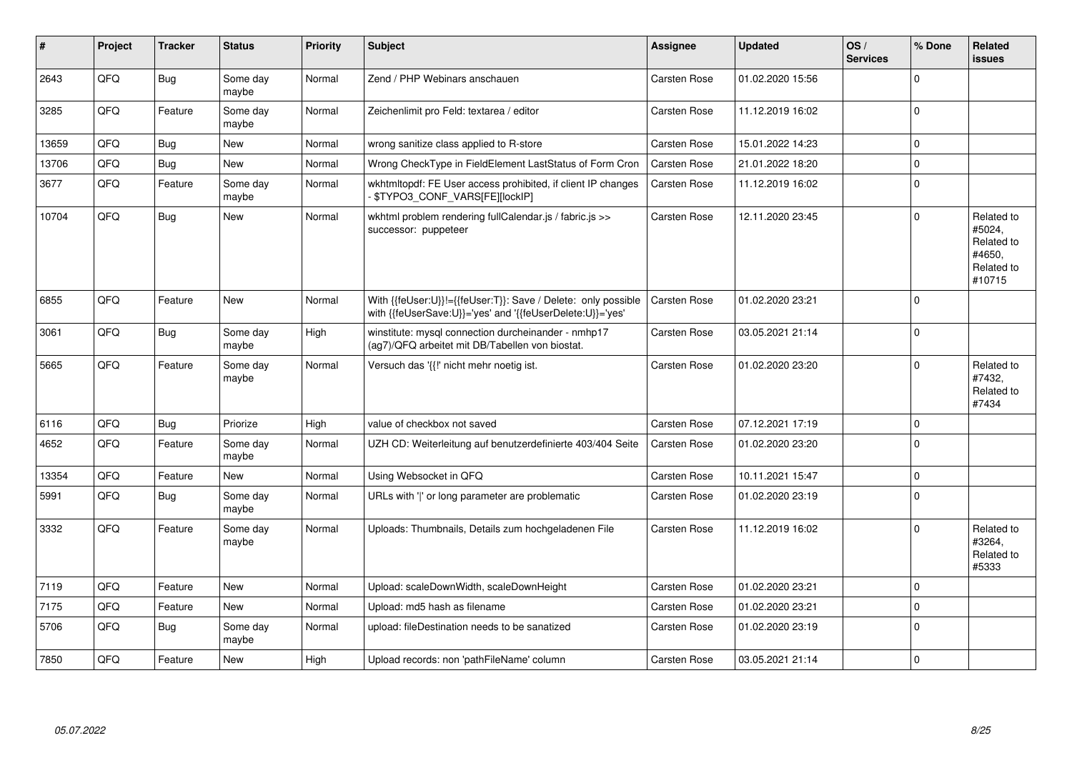| ∦     | Project | <b>Tracker</b> | <b>Status</b>     | <b>Priority</b> | <b>Subject</b>                                                                                                             | <b>Assignee</b>     | <b>Updated</b>   | OS/<br><b>Services</b> | % Done      | Related<br><b>issues</b>                                             |
|-------|---------|----------------|-------------------|-----------------|----------------------------------------------------------------------------------------------------------------------------|---------------------|------------------|------------------------|-------------|----------------------------------------------------------------------|
| 2643  | QFQ     | <b>Bug</b>     | Some day<br>maybe | Normal          | Zend / PHP Webinars anschauen                                                                                              | <b>Carsten Rose</b> | 01.02.2020 15:56 |                        | $\Omega$    |                                                                      |
| 3285  | QFQ     | Feature        | Some day<br>maybe | Normal          | Zeichenlimit pro Feld: textarea / editor                                                                                   | <b>Carsten Rose</b> | 11.12.2019 16:02 |                        | $\mathbf 0$ |                                                                      |
| 13659 | QFQ     | <b>Bug</b>     | <b>New</b>        | Normal          | wrong sanitize class applied to R-store                                                                                    | <b>Carsten Rose</b> | 15.01.2022 14:23 |                        | $\mathbf 0$ |                                                                      |
| 13706 | QFQ     | <b>Bug</b>     | <b>New</b>        | Normal          | Wrong CheckType in FieldElement LastStatus of Form Cron                                                                    | <b>Carsten Rose</b> | 21.01.2022 18:20 |                        | $\mathbf 0$ |                                                                      |
| 3677  | QFQ     | Feature        | Some day<br>maybe | Normal          | wkhtmltopdf: FE User access prohibited, if client IP changes<br>\$TYPO3_CONF_VARS[FE][lockIP]                              | <b>Carsten Rose</b> | 11.12.2019 16:02 |                        | $\mathsf 0$ |                                                                      |
| 10704 | QFQ     | <b>Bug</b>     | <b>New</b>        | Normal          | wkhtml problem rendering fullCalendar.js / fabric.js >><br>successor: puppeteer                                            | Carsten Rose        | 12.11.2020 23:45 |                        | $\Omega$    | Related to<br>#5024,<br>Related to<br>#4650,<br>Related to<br>#10715 |
| 6855  | QFQ     | Feature        | <b>New</b>        | Normal          | With {{feUser:U}}!={{feUser:T}}: Save / Delete: only possible<br>with {{feUserSave:U}}='yes' and '{{feUserDelete:U}}='yes' | <b>Carsten Rose</b> | 01.02.2020 23:21 |                        | $\Omega$    |                                                                      |
| 3061  | QFQ     | <b>Bug</b>     | Some day<br>maybe | High            | winstitute: mysgl connection durcheinander - nmhp17<br>(ag7)/QFQ arbeitet mit DB/Tabellen von biostat.                     | <b>Carsten Rose</b> | 03.05.2021 21:14 |                        | $\Omega$    |                                                                      |
| 5665  | QFQ     | Feature        | Some day<br>maybe | Normal          | Versuch das '{{!' nicht mehr noetig ist.                                                                                   | <b>Carsten Rose</b> | 01.02.2020 23:20 |                        | $\mathbf 0$ | Related to<br>#7432,<br>Related to<br>#7434                          |
| 6116  | QFQ     | Bug            | Priorize          | High            | value of checkbox not saved                                                                                                | <b>Carsten Rose</b> | 07.12.2021 17:19 |                        | $\mathsf 0$ |                                                                      |
| 4652  | QFQ     | Feature        | Some day<br>maybe | Normal          | UZH CD: Weiterleitung auf benutzerdefinierte 403/404 Seite                                                                 | <b>Carsten Rose</b> | 01.02.2020 23:20 |                        | $\mathbf 0$ |                                                                      |
| 13354 | QFQ     | Feature        | New               | Normal          | Using Websocket in QFQ                                                                                                     | <b>Carsten Rose</b> | 10.11.2021 15:47 |                        | $\pmb{0}$   |                                                                      |
| 5991  | QFQ     | Bug            | Some day<br>maybe | Normal          | URLs with ' ' or long parameter are problematic                                                                            | <b>Carsten Rose</b> | 01.02.2020 23:19 |                        | $\mathbf 0$ |                                                                      |
| 3332  | QFQ     | Feature        | Some day<br>maybe | Normal          | Uploads: Thumbnails, Details zum hochgeladenen File                                                                        | <b>Carsten Rose</b> | 11.12.2019 16:02 |                        | $\Omega$    | Related to<br>#3264,<br>Related to<br>#5333                          |
| 7119  | QFQ     | Feature        | <b>New</b>        | Normal          | Upload: scaleDownWidth, scaleDownHeight                                                                                    | Carsten Rose        | 01.02.2020 23:21 |                        | $\mathbf 0$ |                                                                      |
| 7175  | QFQ     | Feature        | <b>New</b>        | Normal          | Upload: md5 hash as filename                                                                                               | <b>Carsten Rose</b> | 01.02.2020 23:21 |                        | $\mathbf 0$ |                                                                      |
| 5706  | QFQ     | <b>Bug</b>     | Some day<br>maybe | Normal          | upload: fileDestination needs to be sanatized                                                                              | <b>Carsten Rose</b> | 01.02.2020 23:19 |                        | $\pmb{0}$   |                                                                      |
| 7850  | QFQ     | Feature        | New               | High            | Upload records: non 'pathFileName' column                                                                                  | <b>Carsten Rose</b> | 03.05.2021 21:14 |                        | $\mathbf 0$ |                                                                      |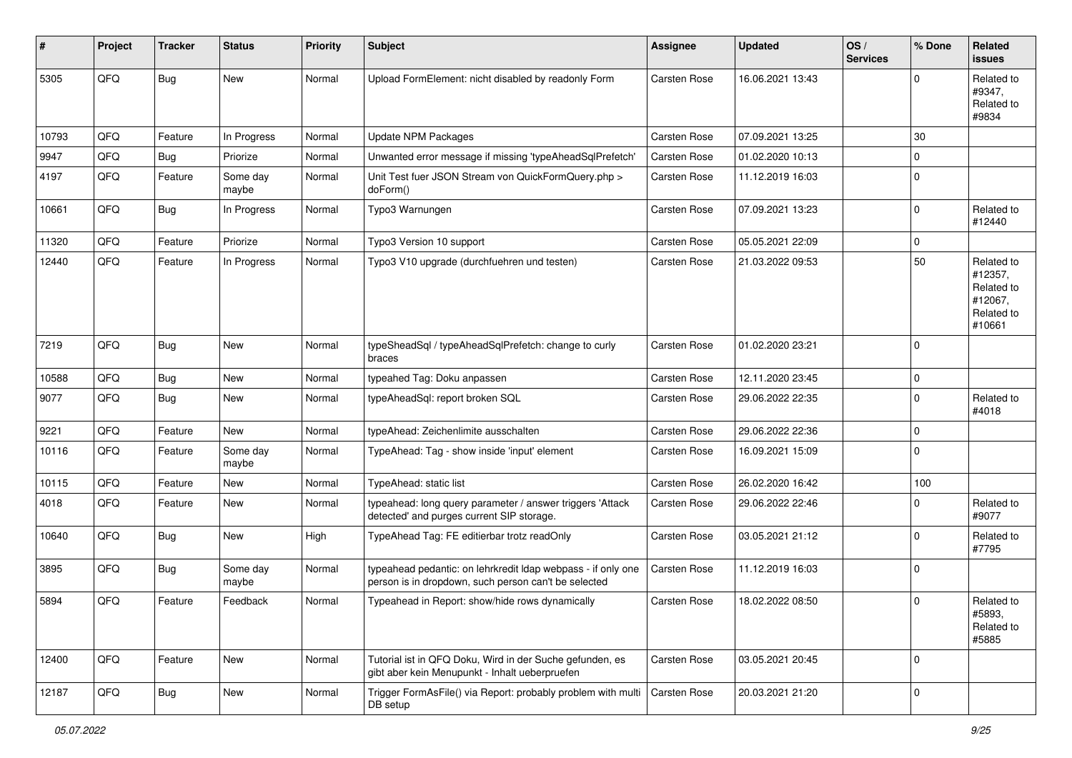| #     | Project | <b>Tracker</b> | <b>Status</b>     | <b>Priority</b> | Subject                                                                                                              | <b>Assignee</b>     | <b>Updated</b>   | OS/<br><b>Services</b> | % Done       | Related<br><b>issues</b>                                               |
|-------|---------|----------------|-------------------|-----------------|----------------------------------------------------------------------------------------------------------------------|---------------------|------------------|------------------------|--------------|------------------------------------------------------------------------|
| 5305  | QFQ     | Bug            | New               | Normal          | Upload FormElement: nicht disabled by readonly Form                                                                  | <b>Carsten Rose</b> | 16.06.2021 13:43 |                        | <sup>o</sup> | Related to<br>#9347,<br>Related to<br>#9834                            |
| 10793 | QFQ     | Feature        | In Progress       | Normal          | Update NPM Packages                                                                                                  | <b>Carsten Rose</b> | 07.09.2021 13:25 |                        | 30           |                                                                        |
| 9947  | QFQ     | Bug            | Priorize          | Normal          | Unwanted error message if missing 'typeAheadSqlPrefetch'                                                             | <b>Carsten Rose</b> | 01.02.2020 10:13 |                        | $\Omega$     |                                                                        |
| 4197  | QFQ     | Feature        | Some day<br>maybe | Normal          | Unit Test fuer JSON Stream von QuickFormQuery.php ><br>doForm()                                                      | Carsten Rose        | 11.12.2019 16:03 |                        | $\Omega$     |                                                                        |
| 10661 | QFQ     | <b>Bug</b>     | In Progress       | Normal          | Typo3 Warnungen                                                                                                      | <b>Carsten Rose</b> | 07.09.2021 13:23 |                        | $\Omega$     | Related to<br>#12440                                                   |
| 11320 | QFQ     | Feature        | Priorize          | Normal          | Typo3 Version 10 support                                                                                             | Carsten Rose        | 05.05.2021 22:09 |                        | $\Omega$     |                                                                        |
| 12440 | QFQ     | Feature        | In Progress       | Normal          | Typo3 V10 upgrade (durchfuehren und testen)                                                                          | Carsten Rose        | 21.03.2022 09:53 |                        | 50           | Related to<br>#12357,<br>Related to<br>#12067,<br>Related to<br>#10661 |
| 7219  | QFQ     | Bug            | <b>New</b>        | Normal          | typeSheadSql / typeAheadSqlPrefetch: change to curly<br>braces                                                       | Carsten Rose        | 01.02.2020 23:21 |                        | $\Omega$     |                                                                        |
| 10588 | QFQ     | Bug            | <b>New</b>        | Normal          | typeahed Tag: Doku anpassen                                                                                          | <b>Carsten Rose</b> | 12.11.2020 23:45 |                        | $\mathbf 0$  |                                                                        |
| 9077  | QFQ     | Bug            | New               | Normal          | typeAheadSql: report broken SQL                                                                                      | Carsten Rose        | 29.06.2022 22:35 |                        | $\Omega$     | Related to<br>#4018                                                    |
| 9221  | QFQ     | Feature        | New               | Normal          | typeAhead: Zeichenlimite ausschalten                                                                                 | <b>Carsten Rose</b> | 29.06.2022 22:36 |                        | $\Omega$     |                                                                        |
| 10116 | QFQ     | Feature        | Some day<br>maybe | Normal          | TypeAhead: Tag - show inside 'input' element                                                                         | <b>Carsten Rose</b> | 16.09.2021 15:09 |                        | $\Omega$     |                                                                        |
| 10115 | QFQ     | Feature        | <b>New</b>        | Normal          | TypeAhead: static list                                                                                               | <b>Carsten Rose</b> | 26.02.2020 16:42 |                        | 100          |                                                                        |
| 4018  | QFQ     | Feature        | New               | Normal          | typeahead: long query parameter / answer triggers 'Attack<br>detected' and purges current SIP storage.               | Carsten Rose        | 29.06.2022 22:46 |                        | 0            | Related to<br>#9077                                                    |
| 10640 | QFQ     | Bug            | <b>New</b>        | High            | TypeAhead Tag: FE editierbar trotz readOnly                                                                          | <b>Carsten Rose</b> | 03.05.2021 21:12 |                        | $\Omega$     | Related to<br>#7795                                                    |
| 3895  | QFQ     | Bug            | Some day<br>maybe | Normal          | typeahead pedantic: on lehrkredit Idap webpass - if only one<br>person is in dropdown, such person can't be selected | <b>Carsten Rose</b> | 11.12.2019 16:03 |                        | $\mathbf 0$  |                                                                        |
| 5894  | QFQ     | Feature        | Feedback          | Normal          | Typeahead in Report: show/hide rows dynamically                                                                      | <b>Carsten Rose</b> | 18.02.2022 08:50 |                        | $\Omega$     | Related to<br>#5893,<br>Related to<br>#5885                            |
| 12400 | QFQ     | Feature        | New               | Normal          | Tutorial ist in QFQ Doku, Wird in der Suche gefunden, es<br>gibt aber kein Menupunkt - Inhalt ueberpruefen           | <b>Carsten Rose</b> | 03.05.2021 20:45 |                        | $\mathbf 0$  |                                                                        |
| 12187 | QFQ     | <b>Bug</b>     | New               | Normal          | Trigger FormAsFile() via Report: probably problem with multi<br>DB setup                                             | <b>Carsten Rose</b> | 20.03.2021 21:20 |                        | $\mathbf 0$  |                                                                        |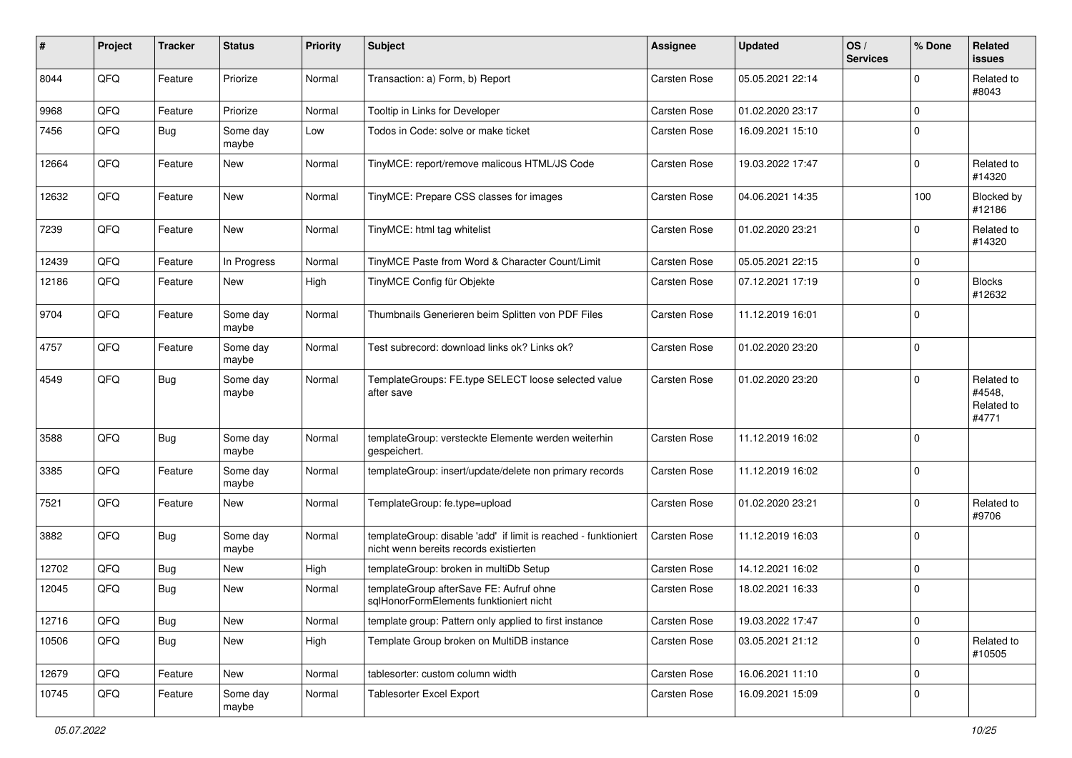| #     | Project | <b>Tracker</b> | <b>Status</b>     | <b>Priority</b> | <b>Subject</b>                                                                                            | <b>Assignee</b>     | <b>Updated</b>   | OS/<br><b>Services</b> | % Done      | Related<br><b>issues</b>                    |
|-------|---------|----------------|-------------------|-----------------|-----------------------------------------------------------------------------------------------------------|---------------------|------------------|------------------------|-------------|---------------------------------------------|
| 8044  | QFQ     | Feature        | Priorize          | Normal          | Transaction: a) Form, b) Report                                                                           | Carsten Rose        | 05.05.2021 22:14 |                        | U           | Related to<br>#8043                         |
| 9968  | QFQ     | Feature        | Priorize          | Normal          | Tooltip in Links for Developer                                                                            | <b>Carsten Rose</b> | 01.02.2020 23:17 |                        | $\mathbf 0$ |                                             |
| 7456  | QFQ     | Bug            | Some day<br>maybe | Low             | Todos in Code: solve or make ticket                                                                       | Carsten Rose        | 16.09.2021 15:10 |                        | $\Omega$    |                                             |
| 12664 | QFQ     | Feature        | <b>New</b>        | Normal          | TinyMCE: report/remove malicous HTML/JS Code                                                              | <b>Carsten Rose</b> | 19.03.2022 17:47 |                        | $\Omega$    | Related to<br>#14320                        |
| 12632 | QFQ     | Feature        | New               | Normal          | TinyMCE: Prepare CSS classes for images                                                                   | Carsten Rose        | 04.06.2021 14:35 |                        | 100         | Blocked by<br>#12186                        |
| 7239  | QFQ     | Feature        | <b>New</b>        | Normal          | TinyMCE: html tag whitelist                                                                               | Carsten Rose        | 01.02.2020 23:21 |                        | $\Omega$    | Related to<br>#14320                        |
| 12439 | QFQ     | Feature        | In Progress       | Normal          | TinyMCE Paste from Word & Character Count/Limit                                                           | <b>Carsten Rose</b> | 05.05.2021 22:15 |                        | $\mathbf 0$ |                                             |
| 12186 | QFQ     | Feature        | New               | High            | TinyMCE Config für Objekte                                                                                | <b>Carsten Rose</b> | 07.12.2021 17:19 |                        | $\Omega$    | <b>Blocks</b><br>#12632                     |
| 9704  | QFQ     | Feature        | Some day<br>maybe | Normal          | Thumbnails Generieren beim Splitten von PDF Files                                                         | <b>Carsten Rose</b> | 11.12.2019 16:01 |                        | $\Omega$    |                                             |
| 4757  | QFQ     | Feature        | Some day<br>maybe | Normal          | Test subrecord: download links ok? Links ok?                                                              | <b>Carsten Rose</b> | 01.02.2020 23:20 |                        | $\Omega$    |                                             |
| 4549  | QFQ     | <b>Bug</b>     | Some day<br>maybe | Normal          | TemplateGroups: FE.type SELECT loose selected value<br>after save                                         | Carsten Rose        | 01.02.2020 23:20 |                        | $\Omega$    | Related to<br>#4548,<br>Related to<br>#4771 |
| 3588  | QFQ     | Bug            | Some day<br>maybe | Normal          | templateGroup: versteckte Elemente werden weiterhin<br>gespeichert.                                       | <b>Carsten Rose</b> | 11.12.2019 16:02 |                        | $\Omega$    |                                             |
| 3385  | QFQ     | Feature        | Some day<br>maybe | Normal          | templateGroup: insert/update/delete non primary records                                                   | <b>Carsten Rose</b> | 11.12.2019 16:02 |                        | $\Omega$    |                                             |
| 7521  | QFQ     | Feature        | New               | Normal          | TemplateGroup: fe.type=upload                                                                             | <b>Carsten Rose</b> | 01.02.2020 23:21 |                        | $\Omega$    | Related to<br>#9706                         |
| 3882  | QFQ     | <b>Bug</b>     | Some day<br>maybe | Normal          | templateGroup: disable 'add' if limit is reached - funktioniert<br>nicht wenn bereits records existierten | <b>Carsten Rose</b> | 11.12.2019 16:03 |                        | $\Omega$    |                                             |
| 12702 | QFQ     | Bug            | <b>New</b>        | High            | templateGroup: broken in multiDb Setup                                                                    | <b>Carsten Rose</b> | 14.12.2021 16:02 |                        | $\mathbf 0$ |                                             |
| 12045 | QFQ     | Bug            | New               | Normal          | templateGroup afterSave FE: Aufruf ohne<br>sqlHonorFormElements funktioniert nicht                        | <b>Carsten Rose</b> | 18.02.2021 16:33 |                        | $\mathbf 0$ |                                             |
| 12716 | QFQ     | <b>Bug</b>     | New               | Normal          | template group: Pattern only applied to first instance                                                    | Carsten Rose        | 19.03.2022 17:47 |                        | $\mathbf 0$ |                                             |
| 10506 | QFQ     | <b>Bug</b>     | New               | High            | Template Group broken on MultiDB instance                                                                 | Carsten Rose        | 03.05.2021 21:12 |                        | $\mathbf 0$ | Related to<br>#10505                        |
| 12679 | QFQ     | Feature        | New               | Normal          | tablesorter: custom column width                                                                          | Carsten Rose        | 16.06.2021 11:10 |                        | $\mathbf 0$ |                                             |
| 10745 | QFQ     | Feature        | Some day<br>maybe | Normal          | <b>Tablesorter Excel Export</b>                                                                           | Carsten Rose        | 16.09.2021 15:09 |                        | $\mathbf 0$ |                                             |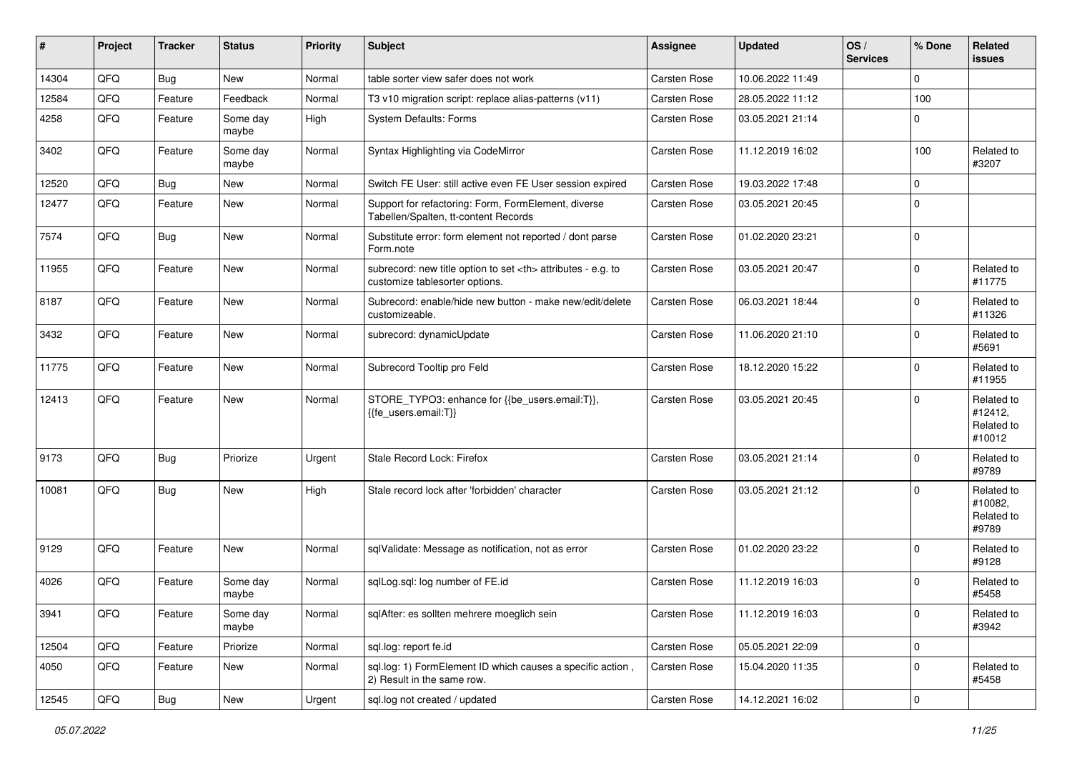| #     | Project | <b>Tracker</b> | <b>Status</b>     | <b>Priority</b> | Subject                                                                                              | <b>Assignee</b>                                        | <b>Updated</b>      | OS/<br><b>Services</b> | % Done      | Related<br><b>issues</b>                      |                      |
|-------|---------|----------------|-------------------|-----------------|------------------------------------------------------------------------------------------------------|--------------------------------------------------------|---------------------|------------------------|-------------|-----------------------------------------------|----------------------|
| 14304 | QFQ     | <b>Bug</b>     | <b>New</b>        | Normal          | table sorter view safer does not work                                                                | Carsten Rose                                           | 10.06.2022 11:49    |                        | $\Omega$    |                                               |                      |
| 12584 | QFQ     | Feature        | Feedback          | Normal          | T3 v10 migration script: replace alias-patterns (v11)                                                | <b>Carsten Rose</b>                                    | 28.05.2022 11:12    |                        | 100         |                                               |                      |
| 4258  | QFQ     | Feature        | Some day<br>maybe | High            | <b>System Defaults: Forms</b>                                                                        | <b>Carsten Rose</b>                                    | 03.05.2021 21:14    |                        | $\Omega$    |                                               |                      |
| 3402  | QFQ     | Feature        | Some day<br>maybe | Normal          | Syntax Highlighting via CodeMirror                                                                   | <b>Carsten Rose</b>                                    | 11.12.2019 16:02    |                        | 100         | Related to<br>#3207                           |                      |
| 12520 | QFQ     | <b>Bug</b>     | New               | Normal          | Switch FE User: still active even FE User session expired                                            | Carsten Rose                                           | 19.03.2022 17:48    |                        | 0           |                                               |                      |
| 12477 | QFQ     | Feature        | New               | Normal          | Support for refactoring: Form, FormElement, diverse<br>Tabellen/Spalten, tt-content Records          | <b>Carsten Rose</b>                                    | 03.05.2021 20:45    |                        | $\Omega$    |                                               |                      |
| 7574  | QFQ     | <b>Bug</b>     | <b>New</b>        | Normal          | Substitute error: form element not reported / dont parse<br>Form.note                                | <b>Carsten Rose</b>                                    | 01.02.2020 23:21    |                        | $\mathbf 0$ |                                               |                      |
| 11955 | QFQ     | Feature        | <b>New</b>        | Normal          | subrecord: new title option to set <th> attributes - e.g. to<br/>customize tablesorter options.</th> | attributes - e.g. to<br>customize tablesorter options. | <b>Carsten Rose</b> | 03.05.2021 20:47       |             | $\Omega$                                      | Related to<br>#11775 |
| 8187  | QFQ     | Feature        | <b>New</b>        | Normal          | Subrecord: enable/hide new button - make new/edit/delete<br>customizeable.                           | <b>Carsten Rose</b>                                    | 06.03.2021 18:44    |                        | $\Omega$    | Related to<br>#11326                          |                      |
| 3432  | QFQ     | Feature        | New               | Normal          | subrecord: dynamicUpdate                                                                             | <b>Carsten Rose</b>                                    | 11.06.2020 21:10    |                        | $\Omega$    | Related to<br>#5691                           |                      |
| 11775 | QFQ     | Feature        | New               | Normal          | Subrecord Tooltip pro Feld                                                                           | <b>Carsten Rose</b>                                    | 18.12.2020 15:22    |                        | 0           | Related to<br>#11955                          |                      |
| 12413 | QFQ     | Feature        | <b>New</b>        | Normal          | STORE_TYPO3: enhance for {{be_users.email:T}},<br>{{fe users.email:T}}                               | <b>Carsten Rose</b>                                    | 03.05.2021 20:45    |                        | $\Omega$    | Related to<br>#12412,<br>Related to<br>#10012 |                      |
| 9173  | QFQ     | <b>Bug</b>     | Priorize          | Urgent          | Stale Record Lock: Firefox                                                                           | <b>Carsten Rose</b>                                    | 03.05.2021 21:14    |                        | $\mathbf 0$ | Related to<br>#9789                           |                      |
| 10081 | QFQ     | <b>Bug</b>     | <b>New</b>        | High            | Stale record lock after 'forbidden' character                                                        | <b>Carsten Rose</b>                                    | 03.05.2021 21:12    |                        | $\Omega$    | Related to<br>#10082,<br>Related to<br>#9789  |                      |
| 9129  | QFQ     | Feature        | <b>New</b>        | Normal          | sqlValidate: Message as notification, not as error                                                   | <b>Carsten Rose</b>                                    | 01.02.2020 23:22    |                        | $\Omega$    | Related to<br>#9128                           |                      |
| 4026  | QFQ     | Feature        | Some day<br>maybe | Normal          | sqlLog.sql: log number of FE.id                                                                      | <b>Carsten Rose</b>                                    | 11.12.2019 16:03    |                        | $\Omega$    | Related to<br>#5458                           |                      |
| 3941  | QFQ     | Feature        | Some day<br>maybe | Normal          | sqlAfter: es sollten mehrere moeglich sein                                                           | Carsten Rose                                           | 11.12.2019 16:03    |                        | 0           | Related to<br>#3942                           |                      |
| 12504 | QFQ     | Feature        | Priorize          | Normal          | sql.log: report fe.id                                                                                | Carsten Rose                                           | 05.05.2021 22:09    |                        | 0           |                                               |                      |
| 4050  | QFQ     | Feature        | New               | Normal          | sql.log: 1) FormElement ID which causes a specific action,<br>2) Result in the same row.             | <b>Carsten Rose</b>                                    | 15.04.2020 11:35    |                        | $\mathbf 0$ | Related to<br>#5458                           |                      |
| 12545 | QFG     | <b>Bug</b>     | New               | Urgent          | sql.log not created / updated                                                                        | Carsten Rose                                           | 14.12.2021 16:02    |                        | $\mathbf 0$ |                                               |                      |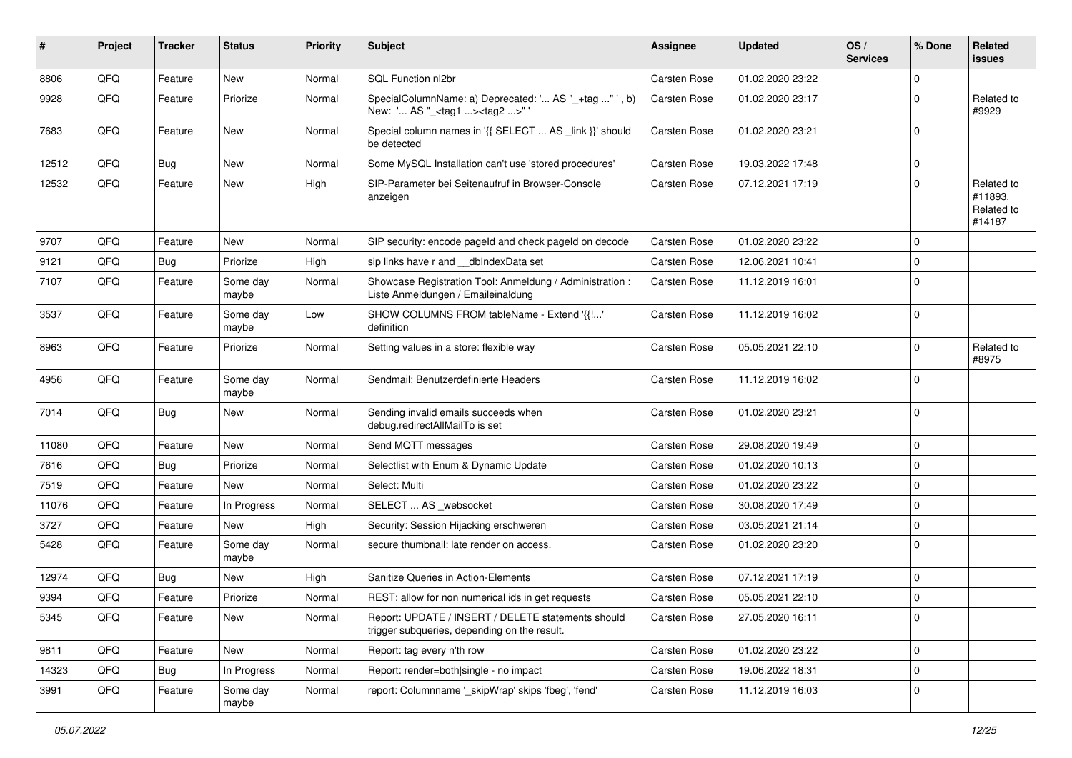| #     | Project | <b>Tracker</b> | <b>Status</b>     | <b>Priority</b> | Subject                                                                                            | <b>Assignee</b>     | <b>Updated</b>   | OS/<br><b>Services</b> | % Done      | Related<br>issues                             |
|-------|---------|----------------|-------------------|-----------------|----------------------------------------------------------------------------------------------------|---------------------|------------------|------------------------|-------------|-----------------------------------------------|
| 8806  | QFQ     | Feature        | <b>New</b>        | Normal          | SQL Function nl2br                                                                                 | <b>Carsten Rose</b> | 01.02.2020 23:22 |                        | $\Omega$    |                                               |
| 9928  | QFQ     | Feature        | Priorize          | Normal          | SpecialColumnName: a) Deprecated: ' AS "_+tag "', b)<br>New: ' AS "_ <tag1><tag2>"</tag2></tag1>   | <b>Carsten Rose</b> | 01.02.2020 23:17 |                        | $\Omega$    | Related to<br>#9929                           |
| 7683  | QFQ     | Feature        | New               | Normal          | Special column names in '{{ SELECT  AS _link }}' should<br>be detected                             | <b>Carsten Rose</b> | 01.02.2020 23:21 |                        | $\Omega$    |                                               |
| 12512 | QFQ     | Bug            | <b>New</b>        | Normal          | Some MySQL Installation can't use 'stored procedures'                                              | <b>Carsten Rose</b> | 19.03.2022 17:48 |                        | $\Omega$    |                                               |
| 12532 | QFQ     | Feature        | <b>New</b>        | High            | SIP-Parameter bei Seitenaufruf in Browser-Console<br>anzeigen                                      | <b>Carsten Rose</b> | 07.12.2021 17:19 |                        | $\mathbf 0$ | Related to<br>#11893,<br>Related to<br>#14187 |
| 9707  | QFQ     | Feature        | <b>New</b>        | Normal          | SIP security: encode pageld and check pageld on decode                                             | <b>Carsten Rose</b> | 01.02.2020 23:22 |                        | $\Omega$    |                                               |
| 9121  | QFQ     | Bug            | Priorize          | High            | sip links have r and __dbIndexData set                                                             | <b>Carsten Rose</b> | 12.06.2021 10:41 |                        | $\mathbf 0$ |                                               |
| 7107  | QFQ     | Feature        | Some day<br>maybe | Normal          | Showcase Registration Tool: Anmeldung / Administration :<br>Liste Anmeldungen / Emaileinaldung     | <b>Carsten Rose</b> | 11.12.2019 16:01 |                        | $\Omega$    |                                               |
| 3537  | QFQ     | Feature        | Some day<br>maybe | Low             | SHOW COLUMNS FROM tableName - Extend '{{!'<br>definition                                           | <b>Carsten Rose</b> | 11.12.2019 16:02 |                        | $\Omega$    |                                               |
| 8963  | QFQ     | Feature        | Priorize          | Normal          | Setting values in a store: flexible way                                                            | <b>Carsten Rose</b> | 05.05.2021 22:10 |                        | $\Omega$    | Related to<br>#8975                           |
| 4956  | QFQ     | Feature        | Some day<br>maybe | Normal          | Sendmail: Benutzerdefinierte Headers                                                               | Carsten Rose        | 11.12.2019 16:02 |                        | $\Omega$    |                                               |
| 7014  | QFQ     | <b>Bug</b>     | <b>New</b>        | Normal          | Sending invalid emails succeeds when<br>debug.redirectAllMailTo is set                             | <b>Carsten Rose</b> | 01.02.2020 23:21 |                        | $\mathbf 0$ |                                               |
| 11080 | QFQ     | Feature        | <b>New</b>        | Normal          | Send MQTT messages                                                                                 | <b>Carsten Rose</b> | 29.08.2020 19:49 |                        | $\mathbf 0$ |                                               |
| 7616  | QFQ     | Bug            | Priorize          | Normal          | Selectlist with Enum & Dynamic Update                                                              | <b>Carsten Rose</b> | 01.02.2020 10:13 |                        | $\mathbf 0$ |                                               |
| 7519  | QFQ     | Feature        | <b>New</b>        | Normal          | Select: Multi                                                                                      | <b>Carsten Rose</b> | 01.02.2020 23:22 |                        | $\mathbf 0$ |                                               |
| 11076 | QFQ     | Feature        | In Progress       | Normal          | SELECT  AS _websocket                                                                              | <b>Carsten Rose</b> | 30.08.2020 17:49 |                        | 0           |                                               |
| 3727  | QFQ     | Feature        | New               | High            | Security: Session Hijacking erschweren                                                             | <b>Carsten Rose</b> | 03.05.2021 21:14 |                        | $\mathbf 0$ |                                               |
| 5428  | QFQ     | Feature        | Some day<br>maybe | Normal          | secure thumbnail: late render on access.                                                           | Carsten Rose        | 01.02.2020 23:20 |                        | $\Omega$    |                                               |
| 12974 | QFQ     | Bug            | <b>New</b>        | High            | Sanitize Queries in Action-Elements                                                                | <b>Carsten Rose</b> | 07.12.2021 17:19 |                        | $\Omega$    |                                               |
| 9394  | QFQ     | Feature        | Priorize          | Normal          | REST: allow for non numerical ids in get requests                                                  | <b>Carsten Rose</b> | 05.05.2021 22:10 |                        | $\Omega$    |                                               |
| 5345  | QFQ     | Feature        | New               | Normal          | Report: UPDATE / INSERT / DELETE statements should<br>trigger subqueries, depending on the result. | Carsten Rose        | 27.05.2020 16:11 |                        | $\mathbf 0$ |                                               |
| 9811  | QFQ     | Feature        | New               | Normal          | Report: tag every n'th row                                                                         | Carsten Rose        | 01.02.2020 23:22 |                        | $\mathbf 0$ |                                               |
| 14323 | QFQ     | <b>Bug</b>     | In Progress       | Normal          | Report: render=both single - no impact                                                             | Carsten Rose        | 19.06.2022 18:31 |                        | 0           |                                               |
| 3991  | QFQ     | Feature        | Some day<br>maybe | Normal          | report: Columnname '_skipWrap' skips 'fbeg', 'fend'                                                | Carsten Rose        | 11.12.2019 16:03 |                        | $\mathbf 0$ |                                               |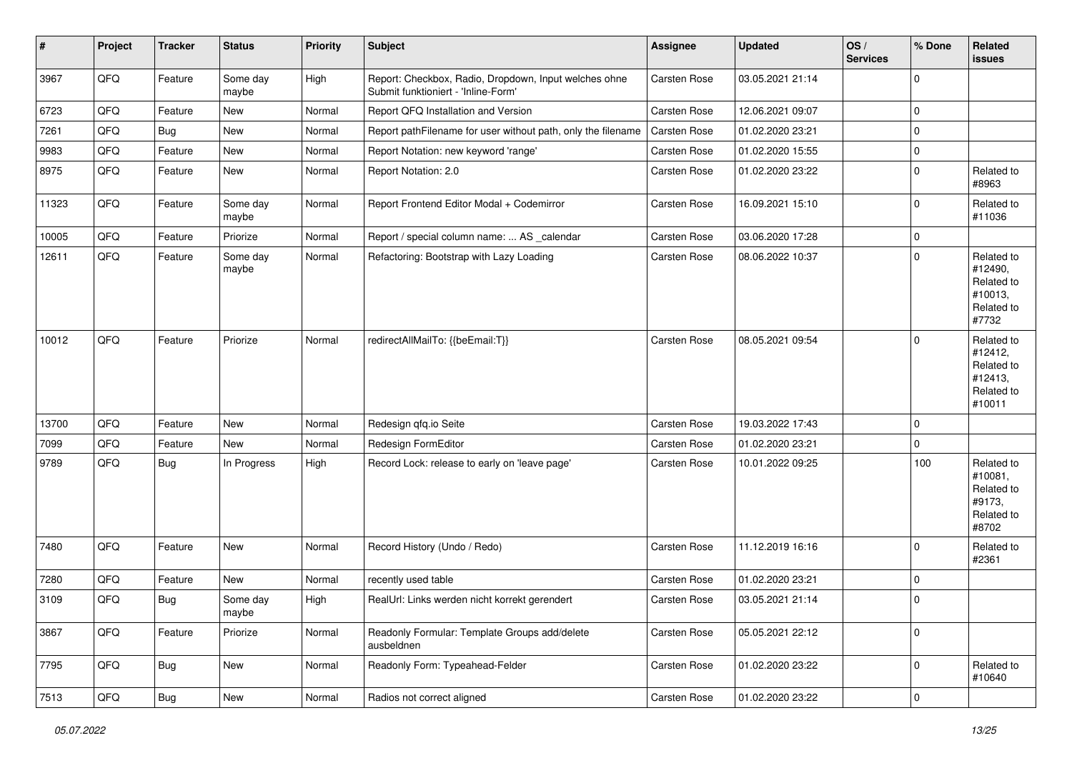| $\vert$ # | Project        | <b>Tracker</b> | <b>Status</b>     | Priority | <b>Subject</b>                                                                               | <b>Assignee</b>     | <b>Updated</b>   | OS/<br><b>Services</b> | % Done              | Related<br>issues                                                      |
|-----------|----------------|----------------|-------------------|----------|----------------------------------------------------------------------------------------------|---------------------|------------------|------------------------|---------------------|------------------------------------------------------------------------|
| 3967      | QFQ            | Feature        | Some day<br>maybe | High     | Report: Checkbox, Radio, Dropdown, Input welches ohne<br>Submit funktioniert - 'Inline-Form' | <b>Carsten Rose</b> | 03.05.2021 21:14 |                        | $\mathbf 0$         |                                                                        |
| 6723      | QFQ            | Feature        | New               | Normal   | Report QFQ Installation and Version                                                          | Carsten Rose        | 12.06.2021 09:07 |                        | $\mathbf 0$         |                                                                        |
| 7261      | QFQ            | <b>Bug</b>     | New               | Normal   | Report pathFilename for user without path, only the filename                                 | Carsten Rose        | 01.02.2020 23:21 |                        | $\mathbf 0$         |                                                                        |
| 9983      | QFQ            | Feature        | New               | Normal   | Report Notation: new keyword 'range'                                                         | <b>Carsten Rose</b> | 01.02.2020 15:55 |                        | $\pmb{0}$           |                                                                        |
| 8975      | QFQ            | Feature        | New               | Normal   | Report Notation: 2.0                                                                         | Carsten Rose        | 01.02.2020 23:22 |                        | $\pmb{0}$           | Related to<br>#8963                                                    |
| 11323     | QFQ            | Feature        | Some day<br>maybe | Normal   | Report Frontend Editor Modal + Codemirror                                                    | Carsten Rose        | 16.09.2021 15:10 |                        | $\mathbf 0$         | Related to<br>#11036                                                   |
| 10005     | QFQ            | Feature        | Priorize          | Normal   | Report / special column name:  AS _calendar                                                  | Carsten Rose        | 03.06.2020 17:28 |                        | $\mathbf 0$         |                                                                        |
| 12611     | QFQ            | Feature        | Some day<br>maybe | Normal   | Refactoring: Bootstrap with Lazy Loading                                                     | <b>Carsten Rose</b> | 08.06.2022 10:37 |                        | $\mathbf 0$         | Related to<br>#12490,<br>Related to<br>#10013,<br>Related to<br>#7732  |
| 10012     | QFQ            | Feature        | Priorize          | Normal   | redirectAllMailTo: {{beEmail:T}}                                                             | <b>Carsten Rose</b> | 08.05.2021 09:54 |                        | $\mathbf 0$         | Related to<br>#12412,<br>Related to<br>#12413,<br>Related to<br>#10011 |
| 13700     | QFQ            | Feature        | <b>New</b>        | Normal   | Redesign qfq.io Seite                                                                        | Carsten Rose        | 19.03.2022 17:43 |                        | $\mathbf 0$         |                                                                        |
| 7099      | QFQ            | Feature        | <b>New</b>        | Normal   | Redesign FormEditor                                                                          | <b>Carsten Rose</b> | 01.02.2020 23:21 |                        | $\mathsf{O}\xspace$ |                                                                        |
| 9789      | QFQ            | Bug            | In Progress       | High     | Record Lock: release to early on 'leave page'                                                | Carsten Rose        | 10.01.2022 09:25 |                        | 100                 | Related to<br>#10081,<br>Related to<br>#9173,<br>Related to<br>#8702   |
| 7480      | QFQ            | Feature        | <b>New</b>        | Normal   | Record History (Undo / Redo)                                                                 | Carsten Rose        | 11.12.2019 16:16 |                        | $\mathbf 0$         | Related to<br>#2361                                                    |
| 7280      | QFQ            | Feature        | <b>New</b>        | Normal   | recently used table                                                                          | Carsten Rose        | 01.02.2020 23:21 |                        | $\mathbf 0$         |                                                                        |
| 3109      | QFQ            | Bug            | Some day<br>maybe | High     | RealUrl: Links werden nicht korrekt gerendert                                                | <b>Carsten Rose</b> | 03.05.2021 21:14 |                        | $\mathbf 0$         |                                                                        |
| 3867      | QFQ            | Feature        | Priorize          | Normal   | Readonly Formular: Template Groups add/delete<br>ausbeldnen                                  | Carsten Rose        | 05.05.2021 22:12 |                        | $\pmb{0}$           |                                                                        |
| 7795      | QFQ            | Bug            | New               | Normal   | Readonly Form: Typeahead-Felder                                                              | Carsten Rose        | 01.02.2020 23:22 |                        | $\mathbf 0$         | Related to<br>#10640                                                   |
| 7513      | $\mathsf{QFQ}$ | Bug            | New               | Normal   | Radios not correct aligned                                                                   | Carsten Rose        | 01.02.2020 23:22 |                        | $\pmb{0}$           |                                                                        |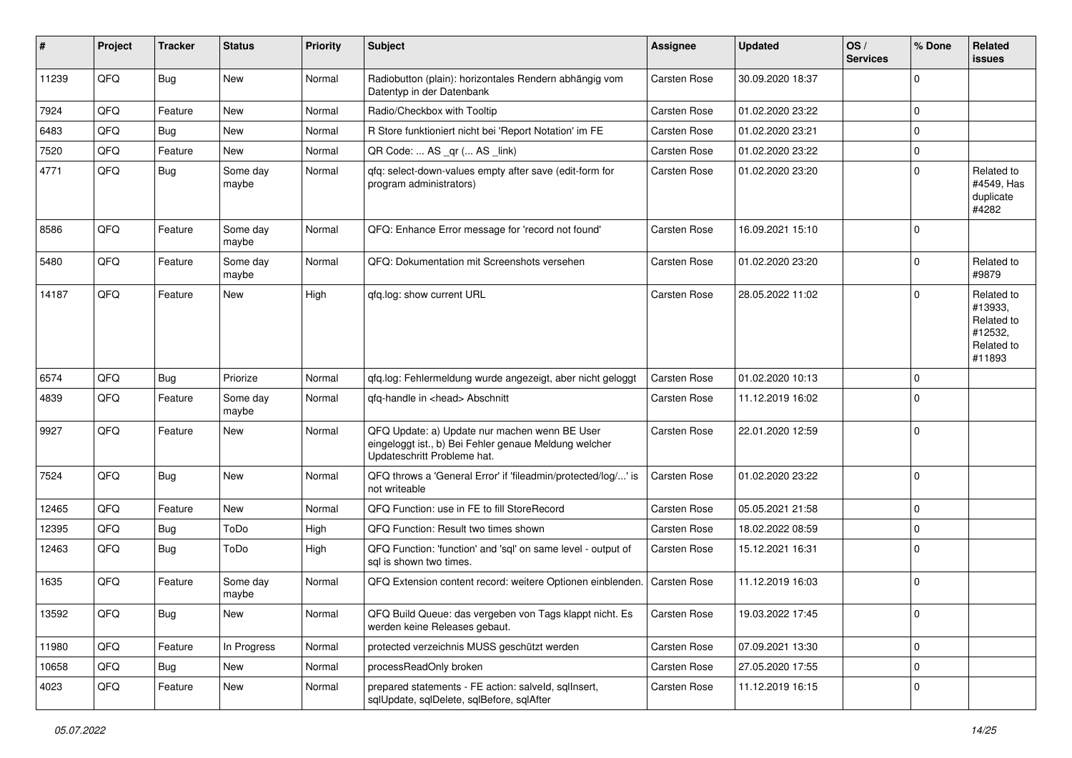| ∦     | Project | <b>Tracker</b> | <b>Status</b>     | <b>Priority</b> | <b>Subject</b>                                                                                                                        | <b>Assignee</b>     | <b>Updated</b>   | OS/<br><b>Services</b> | % Done      | Related<br><b>issues</b>                                               |
|-------|---------|----------------|-------------------|-----------------|---------------------------------------------------------------------------------------------------------------------------------------|---------------------|------------------|------------------------|-------------|------------------------------------------------------------------------|
| 11239 | QFQ     | <b>Bug</b>     | New               | Normal          | Radiobutton (plain): horizontales Rendern abhängig vom<br>Datentyp in der Datenbank                                                   | <b>Carsten Rose</b> | 30.09.2020 18:37 |                        | $\Omega$    |                                                                        |
| 7924  | QFQ     | Feature        | New               | Normal          | Radio/Checkbox with Tooltip                                                                                                           | Carsten Rose        | 01.02.2020 23:22 |                        | $\mathbf 0$ |                                                                        |
| 6483  | QFQ     | <b>Bug</b>     | New               | Normal          | R Store funktioniert nicht bei 'Report Notation' im FE                                                                                | <b>Carsten Rose</b> | 01.02.2020 23:21 |                        | $\Omega$    |                                                                        |
| 7520  | QFQ     | Feature        | New               | Normal          | QR Code:  AS _qr ( AS _link)                                                                                                          | <b>Carsten Rose</b> | 01.02.2020 23:22 |                        | $\Omega$    |                                                                        |
| 4771  | QFQ     | Bug            | Some day<br>maybe | Normal          | qfq: select-down-values empty after save (edit-form for<br>program administrators)                                                    | <b>Carsten Rose</b> | 01.02.2020 23:20 |                        | $\Omega$    | Related to<br>#4549, Has<br>duplicate<br>#4282                         |
| 8586  | QFQ     | Feature        | Some day<br>maybe | Normal          | QFQ: Enhance Error message for 'record not found'                                                                                     | <b>Carsten Rose</b> | 16.09.2021 15:10 |                        | $\mathbf 0$ |                                                                        |
| 5480  | QFQ     | Feature        | Some day<br>maybe | Normal          | QFQ: Dokumentation mit Screenshots versehen                                                                                           | <b>Carsten Rose</b> | 01.02.2020 23:20 |                        | $\mathbf 0$ | Related to<br>#9879                                                    |
| 14187 | QFQ     | Feature        | New               | High            | qfq.log: show current URL                                                                                                             | <b>Carsten Rose</b> | 28.05.2022 11:02 |                        | $\mathbf 0$ | Related to<br>#13933,<br>Related to<br>#12532,<br>Related to<br>#11893 |
| 6574  | QFQ     | <b>Bug</b>     | Priorize          | Normal          | gfg.log: Fehlermeldung wurde angezeigt, aber nicht geloggt                                                                            | Carsten Rose        | 01.02.2020 10:13 |                        | $\Omega$    |                                                                        |
| 4839  | QFQ     | Feature        | Some day<br>maybe | Normal          | qfq-handle in <head> Abschnitt</head>                                                                                                 | <b>Carsten Rose</b> | 11.12.2019 16:02 |                        | $\Omega$    |                                                                        |
| 9927  | QFQ     | Feature        | New               | Normal          | QFQ Update: a) Update nur machen wenn BE User<br>eingeloggt ist., b) Bei Fehler genaue Meldung welcher<br>Updateschritt Probleme hat. | <b>Carsten Rose</b> | 22.01.2020 12:59 |                        | 0           |                                                                        |
| 7524  | QFQ     | <b>Bug</b>     | <b>New</b>        | Normal          | QFQ throws a 'General Error' if 'fileadmin/protected/log/' is<br>not writeable                                                        | Carsten Rose        | 01.02.2020 23:22 |                        | 0           |                                                                        |
| 12465 | QFQ     | Feature        | <b>New</b>        | Normal          | QFQ Function: use in FE to fill StoreRecord                                                                                           | <b>Carsten Rose</b> | 05.05.2021 21:58 |                        | $\Omega$    |                                                                        |
| 12395 | QFQ     | Bug            | ToDo              | High            | QFQ Function: Result two times shown                                                                                                  | Carsten Rose        | 18.02.2022 08:59 |                        | $\Omega$    |                                                                        |
| 12463 | QFQ     | Bug            | ToDo              | High            | QFQ Function: 'function' and 'sql' on same level - output of<br>sal is shown two times.                                               | <b>Carsten Rose</b> | 15.12.2021 16:31 |                        | $\Omega$    |                                                                        |
| 1635  | QFQ     | Feature        | Some day<br>maybe | Normal          | QFQ Extension content record: weitere Optionen einblenden.                                                                            | <b>Carsten Rose</b> | 11.12.2019 16:03 |                        | $\mathbf 0$ |                                                                        |
| 13592 | QFQ     | <b>Bug</b>     | New               | Normal          | QFQ Build Queue: das vergeben von Tags klappt nicht. Es<br>werden keine Releases gebaut.                                              | <b>Carsten Rose</b> | 19.03.2022 17:45 |                        | 0           |                                                                        |
| 11980 | QFQ     | Feature        | In Progress       | Normal          | protected verzeichnis MUSS geschützt werden                                                                                           | Carsten Rose        | 07.09.2021 13:30 |                        | $\mathbf 0$ |                                                                        |
| 10658 | QFQ     | Bug            | <b>New</b>        | Normal          | processReadOnly broken                                                                                                                | Carsten Rose        | 27.05.2020 17:55 |                        | $\mathbf 0$ |                                                                        |
| 4023  | QFQ     | Feature        | New               | Normal          | prepared statements - FE action: salveld, sqllnsert,<br>sqlUpdate, sqlDelete, sqlBefore, sqlAfter                                     | Carsten Rose        | 11.12.2019 16:15 |                        | 0           |                                                                        |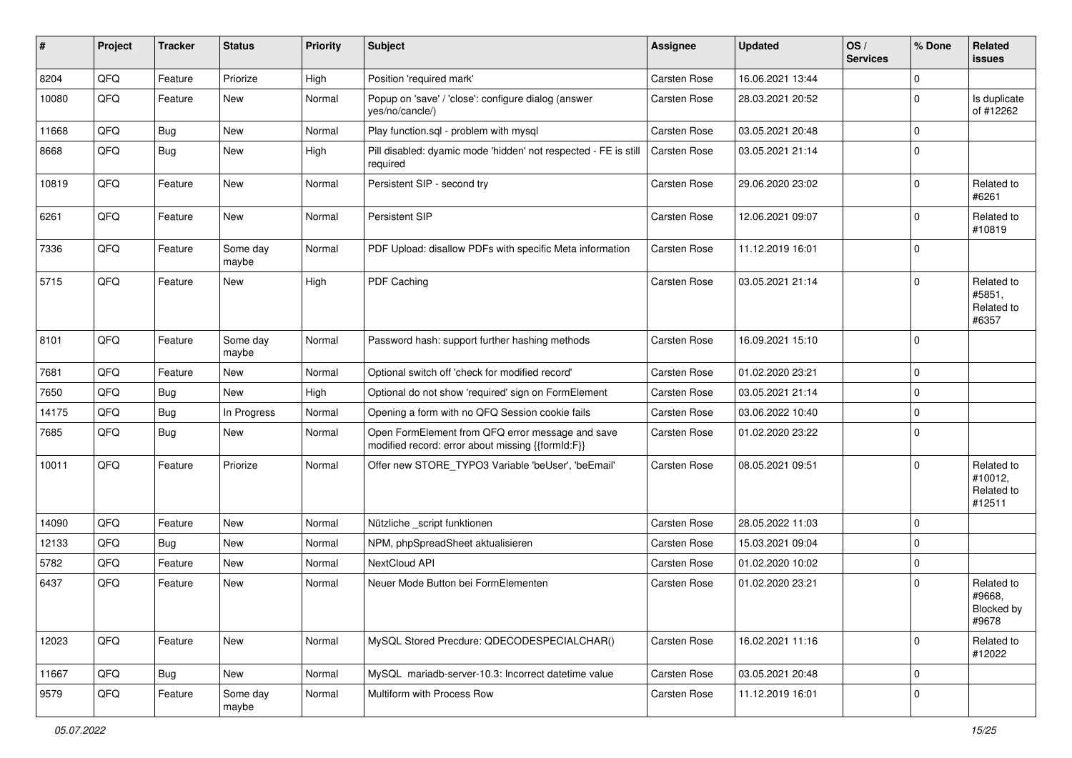| #     | Project | <b>Tracker</b> | <b>Status</b>     | <b>Priority</b> | Subject                                                                                               | <b>Assignee</b>     | <b>Updated</b>   | OS/<br><b>Services</b> | % Done      | Related<br><b>issues</b>                      |
|-------|---------|----------------|-------------------|-----------------|-------------------------------------------------------------------------------------------------------|---------------------|------------------|------------------------|-------------|-----------------------------------------------|
| 8204  | QFQ     | Feature        | Priorize          | High            | Position 'required mark'                                                                              | Carsten Rose        | 16.06.2021 13:44 |                        | $\Omega$    |                                               |
| 10080 | QFQ     | Feature        | <b>New</b>        | Normal          | Popup on 'save' / 'close': configure dialog (answer<br>yes/no/cancle/)                                | <b>Carsten Rose</b> | 28.03.2021 20:52 |                        | $\mathbf 0$ | Is duplicate<br>of #12262                     |
| 11668 | QFQ     | Bug            | New               | Normal          | Play function.sql - problem with mysql                                                                | Carsten Rose        | 03.05.2021 20:48 |                        | $\mathbf 0$ |                                               |
| 8668  | QFQ     | <b>Bug</b>     | New               | High            | Pill disabled: dyamic mode 'hidden' not respected - FE is still<br>required                           | <b>Carsten Rose</b> | 03.05.2021 21:14 |                        | $\Omega$    |                                               |
| 10819 | QFQ     | Feature        | <b>New</b>        | Normal          | Persistent SIP - second try                                                                           | <b>Carsten Rose</b> | 29.06.2020 23:02 |                        | $\mathbf 0$ | Related to<br>#6261                           |
| 6261  | QFQ     | Feature        | New               | Normal          | Persistent SIP                                                                                        | <b>Carsten Rose</b> | 12.06.2021 09:07 |                        | $\mathbf 0$ | Related to<br>#10819                          |
| 7336  | QFQ     | Feature        | Some day<br>maybe | Normal          | PDF Upload: disallow PDFs with specific Meta information                                              | <b>Carsten Rose</b> | 11.12.2019 16:01 |                        | $\Omega$    |                                               |
| 5715  | QFQ     | Feature        | <b>New</b>        | High            | PDF Caching                                                                                           | <b>Carsten Rose</b> | 03.05.2021 21:14 |                        | $\Omega$    | Related to<br>#5851,<br>Related to<br>#6357   |
| 8101  | QFQ     | Feature        | Some day<br>maybe | Normal          | Password hash: support further hashing methods                                                        | <b>Carsten Rose</b> | 16.09.2021 15:10 |                        | 0           |                                               |
| 7681  | QFQ     | Feature        | <b>New</b>        | Normal          | Optional switch off 'check for modified record'                                                       | <b>Carsten Rose</b> | 01.02.2020 23:21 |                        | $\Omega$    |                                               |
| 7650  | QFQ     | Bug            | <b>New</b>        | High            | Optional do not show 'required' sign on FormElement                                                   | <b>Carsten Rose</b> | 03.05.2021 21:14 |                        | $\Omega$    |                                               |
| 14175 | QFQ     | Bug            | In Progress       | Normal          | Opening a form with no QFQ Session cookie fails                                                       | Carsten Rose        | 03.06.2022 10:40 |                        | $\mathbf 0$ |                                               |
| 7685  | QFQ     | <b>Bug</b>     | <b>New</b>        | Normal          | Open FormElement from QFQ error message and save<br>modified record: error about missing {{formId:F}} | <b>Carsten Rose</b> | 01.02.2020 23:22 |                        | $\Omega$    |                                               |
| 10011 | QFQ     | Feature        | Priorize          | Normal          | Offer new STORE_TYPO3 Variable 'beUser', 'beEmail'                                                    | Carsten Rose        | 08.05.2021 09:51 |                        | $\Omega$    | Related to<br>#10012,<br>Related to<br>#12511 |
| 14090 | QFQ     | Feature        | <b>New</b>        | Normal          | Nützliche _script funktionen                                                                          | Carsten Rose        | 28.05.2022 11:03 |                        | $\mathbf 0$ |                                               |
| 12133 | QFQ     | Bug            | New               | Normal          | NPM, phpSpreadSheet aktualisieren                                                                     | <b>Carsten Rose</b> | 15.03.2021 09:04 |                        | $\Omega$    |                                               |
| 5782  | QFQ     | Feature        | New               | Normal          | NextCloud API                                                                                         | Carsten Rose        | 01.02.2020 10:02 |                        | $\mathbf 0$ |                                               |
| 6437  | QFQ     | Feature        | New               | Normal          | Neuer Mode Button bei FormElementen                                                                   | <b>Carsten Rose</b> | 01.02.2020 23:21 |                        | $\Omega$    | Related to<br>#9668,<br>Blocked by<br>#9678   |
| 12023 | QFQ     | Feature        | New               | Normal          | MySQL Stored Precdure: QDECODESPECIALCHAR()                                                           | Carsten Rose        | 16.02.2021 11:16 |                        | $\mathbf 0$ | Related to<br>#12022                          |
| 11667 | QFQ     | Bug            | New               | Normal          | MySQL mariadb-server-10.3: Incorrect datetime value                                                   | Carsten Rose        | 03.05.2021 20:48 |                        | $\mathbf 0$ |                                               |
| 9579  | QFQ     | Feature        | Some day<br>maybe | Normal          | Multiform with Process Row                                                                            | Carsten Rose        | 11.12.2019 16:01 |                        | $\mathbf 0$ |                                               |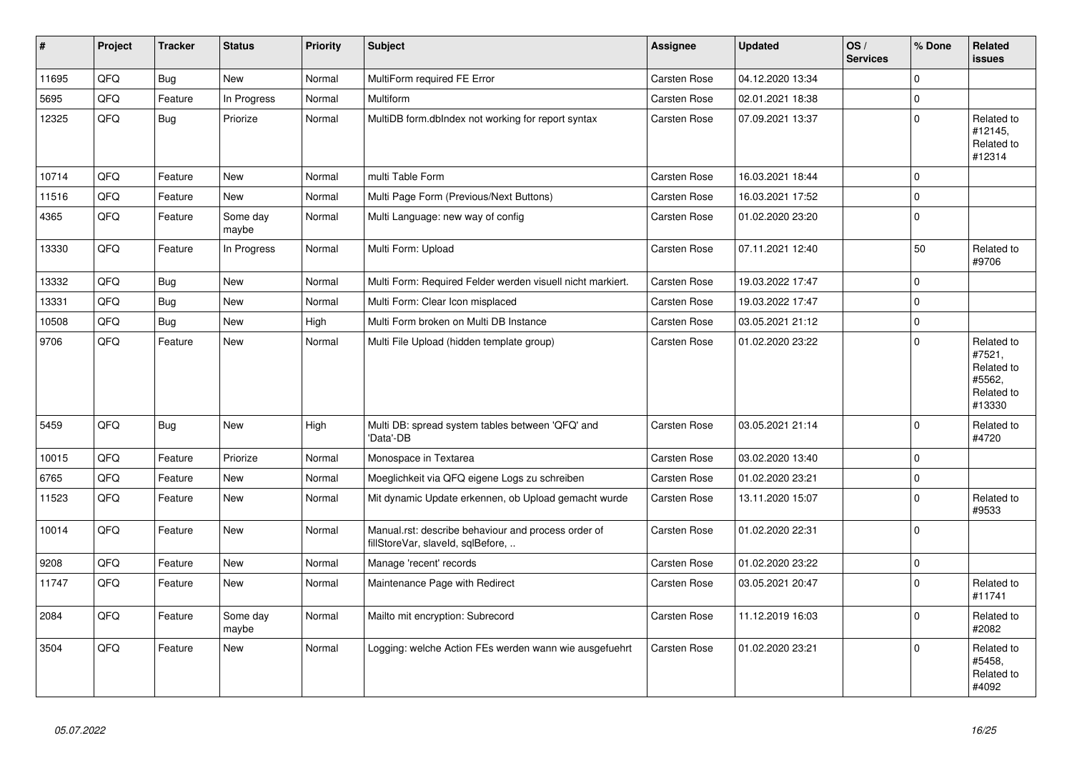| #     | <b>Project</b> | <b>Tracker</b> | <b>Status</b>     | <b>Priority</b> | <b>Subject</b>                                                                           | <b>Assignee</b>     | <b>Updated</b>   | OS/<br><b>Services</b> | % Done      | Related<br><b>issues</b>                                             |
|-------|----------------|----------------|-------------------|-----------------|------------------------------------------------------------------------------------------|---------------------|------------------|------------------------|-------------|----------------------------------------------------------------------|
| 11695 | QFQ            | <b>Bug</b>     | <b>New</b>        | Normal          | MultiForm required FE Error                                                              | <b>Carsten Rose</b> | 04.12.2020 13:34 |                        | $\Omega$    |                                                                      |
| 5695  | QFQ            | Feature        | In Progress       | Normal          | Multiform                                                                                | <b>Carsten Rose</b> | 02.01.2021 18:38 |                        | $\Omega$    |                                                                      |
| 12325 | QFO            | <b>Bug</b>     | Priorize          | Normal          | MultiDB form.dbIndex not working for report syntax                                       | Carsten Rose        | 07.09.2021 13:37 |                        | $\Omega$    | Related to<br>#12145.<br>Related to<br>#12314                        |
| 10714 | QFQ            | Feature        | <b>New</b>        | Normal          | multi Table Form                                                                         | <b>Carsten Rose</b> | 16.03.2021 18:44 |                        | $\Omega$    |                                                                      |
| 11516 | QFQ            | Feature        | <b>New</b>        | Normal          | Multi Page Form (Previous/Next Buttons)                                                  | <b>Carsten Rose</b> | 16.03.2021 17:52 |                        | $\Omega$    |                                                                      |
| 4365  | QFQ            | Feature        | Some day<br>maybe | Normal          | Multi Language: new way of config                                                        | <b>Carsten Rose</b> | 01.02.2020 23:20 |                        | $\Omega$    |                                                                      |
| 13330 | QFQ            | Feature        | In Progress       | Normal          | Multi Form: Upload                                                                       | <b>Carsten Rose</b> | 07.11.2021 12:40 |                        | 50          | Related to<br>#9706                                                  |
| 13332 | QFQ            | Bug            | <b>New</b>        | Normal          | Multi Form: Required Felder werden visuell nicht markiert.                               | Carsten Rose        | 19.03.2022 17:47 |                        | $\Omega$    |                                                                      |
| 13331 | QFQ            | Bug            | <b>New</b>        | Normal          | Multi Form: Clear Icon misplaced                                                         | <b>Carsten Rose</b> | 19.03.2022 17:47 |                        | $\Omega$    |                                                                      |
| 10508 | QFQ            | Bug            | <b>New</b>        | High            | Multi Form broken on Multi DB Instance                                                   | Carsten Rose        | 03.05.2021 21:12 |                        | $\mathbf 0$ |                                                                      |
| 9706  | QFQ            | Feature        | <b>New</b>        | Normal          | Multi File Upload (hidden template group)                                                | <b>Carsten Rose</b> | 01.02.2020 23:22 |                        | $\Omega$    | Related to<br>#7521,<br>Related to<br>#5562,<br>Related to<br>#13330 |
| 5459  | QFQ            | <b>Bug</b>     | <b>New</b>        | High            | Multi DB: spread system tables between 'QFQ' and<br>'Data'-DB                            | <b>Carsten Rose</b> | 03.05.2021 21:14 |                        | $\Omega$    | Related to<br>#4720                                                  |
| 10015 | QFQ            | Feature        | Priorize          | Normal          | Monospace in Textarea                                                                    | <b>Carsten Rose</b> | 03.02.2020 13:40 |                        | $\Omega$    |                                                                      |
| 6765  | QFQ            | Feature        | <b>New</b>        | Normal          | Moeglichkeit via QFQ eigene Logs zu schreiben                                            | <b>Carsten Rose</b> | 01.02.2020 23:21 |                        | $\Omega$    |                                                                      |
| 11523 | QFQ            | Feature        | <b>New</b>        | Normal          | Mit dynamic Update erkennen, ob Upload gemacht wurde                                     | <b>Carsten Rose</b> | 13.11.2020 15:07 |                        | $\Omega$    | Related to<br>#9533                                                  |
| 10014 | QFQ            | Feature        | <b>New</b>        | Normal          | Manual.rst: describe behaviour and process order of<br>fillStoreVar, slaveId, sqlBefore, | <b>Carsten Rose</b> | 01.02.2020 22:31 |                        | $\Omega$    |                                                                      |
| 9208  | QFQ            | Feature        | <b>New</b>        | Normal          | Manage 'recent' records                                                                  | Carsten Rose        | 01.02.2020 23:22 |                        | $\Omega$    |                                                                      |
| 11747 | QFQ            | Feature        | New               | Normal          | Maintenance Page with Redirect                                                           | <b>Carsten Rose</b> | 03.05.2021 20:47 |                        | $\Omega$    | Related to<br>#11741                                                 |
| 2084  | QFQ            | Feature        | Some day<br>maybe | Normal          | Mailto mit encryption: Subrecord                                                         | Carsten Rose        | 11.12.2019 16:03 |                        | $\Omega$    | Related to<br>#2082                                                  |
| 3504  | QFQ            | Feature        | <b>New</b>        | Normal          | Logging: welche Action FEs werden wann wie ausgefuehrt                                   | <b>Carsten Rose</b> | 01.02.2020 23:21 |                        | $\Omega$    | Related to<br>#5458,<br>Related to<br>#4092                          |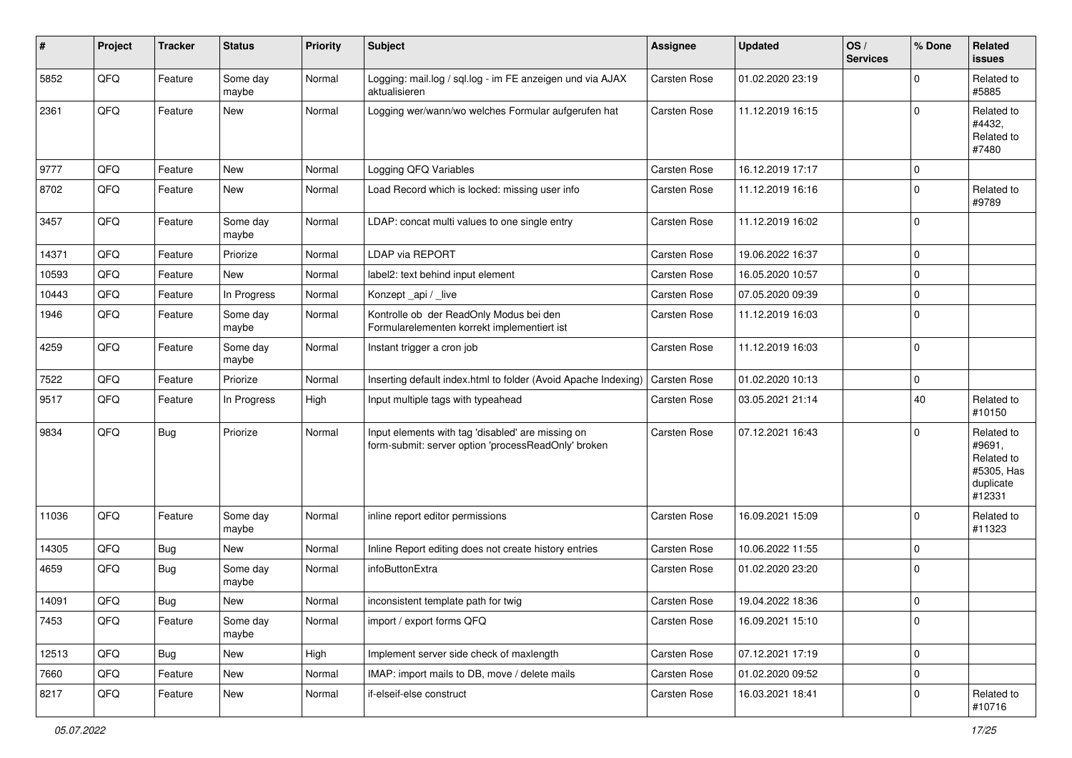| #     | Project | <b>Tracker</b> | <b>Status</b>     | <b>Priority</b> | Subject                                                                                                  | <b>Assignee</b>     | <b>Updated</b>   | OS/<br><b>Services</b> | % Done         | Related<br><b>issues</b>                                                |
|-------|---------|----------------|-------------------|-----------------|----------------------------------------------------------------------------------------------------------|---------------------|------------------|------------------------|----------------|-------------------------------------------------------------------------|
| 5852  | QFQ     | Feature        | Some day<br>maybe | Normal          | Logging: mail.log / sql.log - im FE anzeigen und via AJAX<br>aktualisieren                               | <b>Carsten Rose</b> | 01.02.2020 23:19 |                        | 0              | Related to<br>#5885                                                     |
| 2361  | QFQ     | Feature        | New               | Normal          | Logging wer/wann/wo welches Formular aufgerufen hat                                                      | <b>Carsten Rose</b> | 11.12.2019 16:15 |                        | $\Omega$       | Related to<br>#4432,<br>Related to<br>#7480                             |
| 9777  | QFQ     | Feature        | <b>New</b>        | Normal          | Logging QFQ Variables                                                                                    | <b>Carsten Rose</b> | 16.12.2019 17:17 |                        | $\mathbf 0$    |                                                                         |
| 8702  | QFQ     | Feature        | <b>New</b>        | Normal          | Load Record which is locked: missing user info                                                           | Carsten Rose        | 11.12.2019 16:16 |                        | 0              | Related to<br>#9789                                                     |
| 3457  | QFQ     | Feature        | Some day<br>maybe | Normal          | LDAP: concat multi values to one single entry                                                            | <b>Carsten Rose</b> | 11.12.2019 16:02 |                        | $\Omega$       |                                                                         |
| 14371 | QFQ     | Feature        | Priorize          | Normal          | <b>LDAP via REPORT</b>                                                                                   | <b>Carsten Rose</b> | 19.06.2022 16:37 |                        | $\Omega$       |                                                                         |
| 10593 | QFQ     | Feature        | New               | Normal          | label2: text behind input element                                                                        | <b>Carsten Rose</b> | 16.05.2020 10:57 |                        | $\Omega$       |                                                                         |
| 10443 | QFQ     | Feature        | In Progress       | Normal          | Konzept_api / _live                                                                                      | <b>Carsten Rose</b> | 07.05.2020 09:39 |                        | $\mathbf 0$    |                                                                         |
| 1946  | QFQ     | Feature        | Some day<br>maybe | Normal          | Kontrolle ob der ReadOnly Modus bei den<br>Formularelementen korrekt implementiert ist                   | <b>Carsten Rose</b> | 11.12.2019 16:03 |                        | $\Omega$       |                                                                         |
| 4259  | QFQ     | Feature        | Some day<br>maybe | Normal          | Instant trigger a cron job                                                                               | <b>Carsten Rose</b> | 11.12.2019 16:03 |                        | $\Omega$       |                                                                         |
| 7522  | QFQ     | Feature        | Priorize          | Normal          | Inserting default index.html to folder (Avoid Apache Indexing)                                           | <b>Carsten Rose</b> | 01.02.2020 10:13 |                        | $\Omega$       |                                                                         |
| 9517  | QFQ     | Feature        | In Progress       | High            | Input multiple tags with typeahead                                                                       | Carsten Rose        | 03.05.2021 21:14 |                        | 40             | Related to<br>#10150                                                    |
| 9834  | QFQ     | Bug            | Priorize          | Normal          | Input elements with tag 'disabled' are missing on<br>form-submit: server option 'processReadOnly' broken | <b>Carsten Rose</b> | 07.12.2021 16:43 |                        | $\Omega$       | Related to<br>#9691,<br>Related to<br>#5305, Has<br>duplicate<br>#12331 |
| 11036 | QFQ     | Feature        | Some day<br>maybe | Normal          | inline report editor permissions                                                                         | <b>Carsten Rose</b> | 16.09.2021 15:09 |                        | $\Omega$       | Related to<br>#11323                                                    |
| 14305 | QFQ     | <b>Bug</b>     | <b>New</b>        | Normal          | Inline Report editing does not create history entries                                                    | <b>Carsten Rose</b> | 10.06.2022 11:55 |                        | $\Omega$       |                                                                         |
| 4659  | QFQ     | <b>Bug</b>     | Some day<br>maybe | Normal          | infoButtonExtra                                                                                          | <b>Carsten Rose</b> | 01.02.2020 23:20 |                        | $\mathbf 0$    |                                                                         |
| 14091 | QFQ     | Bug            | New               | Normal          | inconsistent template path for twig                                                                      | <b>Carsten Rose</b> | 19.04.2022 18:36 |                        | $\overline{0}$ |                                                                         |
| 7453  | QFQ     | Feature        | Some day<br>maybe | Normal          | import / export forms QFQ                                                                                | Carsten Rose        | 16.09.2021 15:10 |                        | 0              |                                                                         |
| 12513 | QFQ     | <b>Bug</b>     | New               | High            | Implement server side check of maxlength                                                                 | Carsten Rose        | 07.12.2021 17:19 |                        | 0              |                                                                         |
| 7660  | QFQ     | Feature        | New               | Normal          | IMAP: import mails to DB, move / delete mails                                                            | Carsten Rose        | 01.02.2020 09:52 |                        | $\mathbf 0$    |                                                                         |
| 8217  | QFQ     | Feature        | New               | Normal          | if-elseif-else construct                                                                                 | Carsten Rose        | 16.03.2021 18:41 |                        | 0              | Related to<br>#10716                                                    |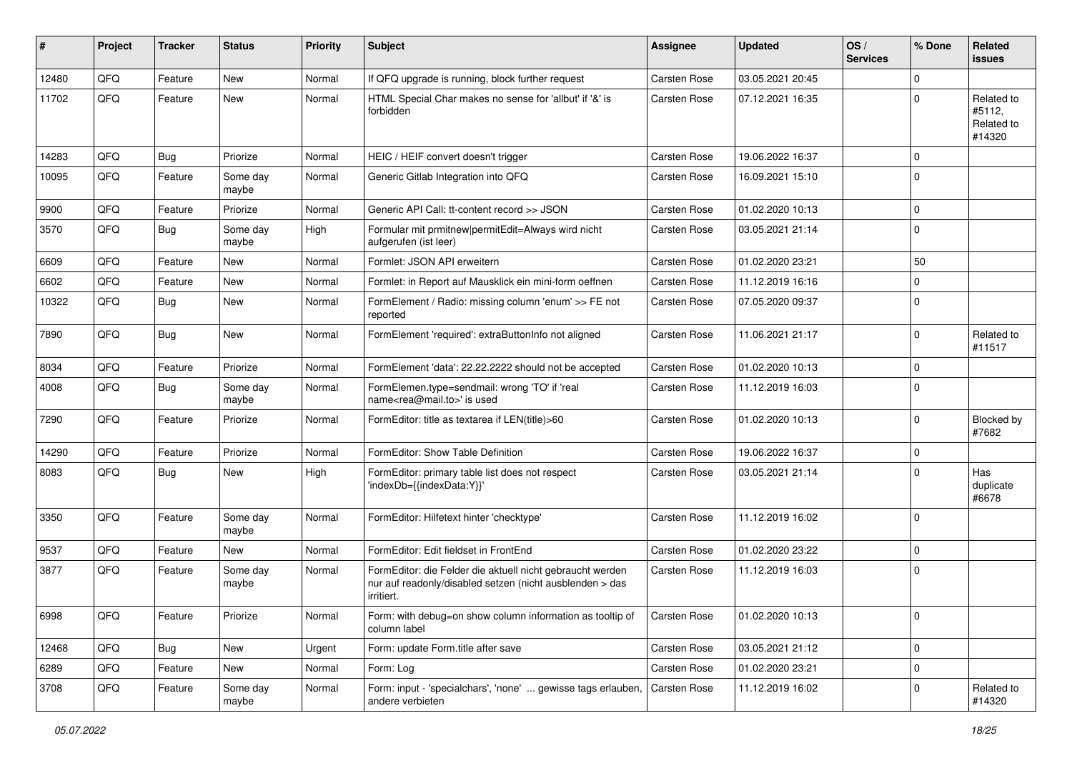| ∦     | Project | <b>Tracker</b> | <b>Status</b>     | <b>Priority</b> | <b>Subject</b>                                                                                                                      | <b>Assignee</b>     | <b>Updated</b>   | OS/<br><b>Services</b> | % Done       | Related<br>issues                            |
|-------|---------|----------------|-------------------|-----------------|-------------------------------------------------------------------------------------------------------------------------------------|---------------------|------------------|------------------------|--------------|----------------------------------------------|
| 12480 | QFQ     | Feature        | <b>New</b>        | Normal          | If QFQ upgrade is running, block further request                                                                                    | <b>Carsten Rose</b> | 03.05.2021 20:45 |                        | $\mathbf 0$  |                                              |
| 11702 | QFQ     | Feature        | <b>New</b>        | Normal          | HTML Special Char makes no sense for 'allbut' if '&' is<br>forbidden                                                                | <b>Carsten Rose</b> | 07.12.2021 16:35 |                        | $\Omega$     | Related to<br>#5112,<br>Related to<br>#14320 |
| 14283 | QFQ     | Bug            | Priorize          | Normal          | HEIC / HEIF convert doesn't trigger                                                                                                 | <b>Carsten Rose</b> | 19.06.2022 16:37 |                        | $\mathbf 0$  |                                              |
| 10095 | QFQ     | Feature        | Some day<br>maybe | Normal          | Generic Gitlab Integration into QFQ                                                                                                 | <b>Carsten Rose</b> | 16.09.2021 15:10 |                        | $\Omega$     |                                              |
| 9900  | QFQ     | Feature        | Priorize          | Normal          | Generic API Call: tt-content record >> JSON                                                                                         | <b>Carsten Rose</b> | 01.02.2020 10:13 |                        | $\mathbf 0$  |                                              |
| 3570  | QFQ     | Bug            | Some day<br>maybe | High            | Formular mit prmitnew permitEdit=Always wird nicht<br>aufgerufen (ist leer)                                                         | Carsten Rose        | 03.05.2021 21:14 |                        | $\Omega$     |                                              |
| 6609  | QFQ     | Feature        | <b>New</b>        | Normal          | Formlet: JSON API erweitern                                                                                                         | <b>Carsten Rose</b> | 01.02.2020 23:21 |                        | 50           |                                              |
| 6602  | QFQ     | Feature        | New               | Normal          | Formlet: in Report auf Mausklick ein mini-form oeffnen                                                                              | <b>Carsten Rose</b> | 11.12.2019 16:16 |                        | $\mathbf{0}$ |                                              |
| 10322 | QFQ     | Bug            | <b>New</b>        | Normal          | FormElement / Radio: missing column 'enum' >> FE not<br>reported                                                                    | Carsten Rose        | 07.05.2020 09:37 |                        | $\Omega$     |                                              |
| 7890  | QFQ     | <b>Bug</b>     | New               | Normal          | FormElement 'required': extraButtonInfo not aligned                                                                                 | <b>Carsten Rose</b> | 11.06.2021 21:17 |                        | $\Omega$     | Related to<br>#11517                         |
| 8034  | QFQ     | Feature        | Priorize          | Normal          | FormElement 'data': 22.22.2222 should not be accepted                                                                               | <b>Carsten Rose</b> | 01.02.2020 10:13 |                        | $\Omega$     |                                              |
| 4008  | QFQ     | <b>Bug</b>     | Some day<br>maybe | Normal          | FormElemen.type=sendmail: wrong 'TO' if 'real<br>name <rea@mail.to>' is used</rea@mail.to>                                          | <b>Carsten Rose</b> | 11.12.2019 16:03 |                        | $\mathbf 0$  |                                              |
| 7290  | QFQ     | Feature        | Priorize          | Normal          | FormEditor: title as textarea if LEN(title)>60                                                                                      | <b>Carsten Rose</b> | 01.02.2020 10:13 |                        | $\mathbf 0$  | Blocked by<br>#7682                          |
| 14290 | QFQ     | Feature        | Priorize          | Normal          | FormEditor: Show Table Definition                                                                                                   | <b>Carsten Rose</b> | 19.06.2022 16:37 |                        | $\mathbf 0$  |                                              |
| 8083  | QFQ     | Bug            | <b>New</b>        | High            | FormEditor: primary table list does not respect<br>'indexDb={{indexData:Y}}'                                                        | <b>Carsten Rose</b> | 03.05.2021 21:14 |                        | $\Omega$     | Has<br>duplicate<br>#6678                    |
| 3350  | QFQ     | Feature        | Some day<br>maybe | Normal          | FormEditor: Hilfetext hinter 'checktype'                                                                                            | <b>Carsten Rose</b> | 11.12.2019 16:02 |                        | $\Omega$     |                                              |
| 9537  | QFQ     | Feature        | <b>New</b>        | Normal          | FormEditor: Edit fieldset in FrontEnd                                                                                               | <b>Carsten Rose</b> | 01.02.2020 23:22 |                        | $\Omega$     |                                              |
| 3877  | QFQ     | Feature        | Some day<br>maybe | Normal          | FormEditor: die Felder die aktuell nicht gebraucht werden<br>nur auf readonly/disabled setzen (nicht ausblenden > das<br>irritiert. | Carsten Rose        | 11.12.2019 16:03 |                        | $\mathbf 0$  |                                              |
| 6998  | QFQ     | Feature        | Priorize          | Normal          | Form: with debug=on show column information as tooltip of<br>column label                                                           | <b>Carsten Rose</b> | 01.02.2020 10:13 |                        | $\mathbf 0$  |                                              |
| 12468 | QFQ     | <b>Bug</b>     | New               | Urgent          | Form: update Form.title after save                                                                                                  | Carsten Rose        | 03.05.2021 21:12 |                        | $\mathbf 0$  |                                              |
| 6289  | QFQ     | Feature        | New               | Normal          | Form: Log                                                                                                                           | Carsten Rose        | 01.02.2020 23:21 |                        | $\pmb{0}$    |                                              |
| 3708  | QFQ     | Feature        | Some day<br>maybe | Normal          | Form: input - 'specialchars', 'none'  gewisse tags erlauben,<br>andere verbieten                                                    | <b>Carsten Rose</b> | 11.12.2019 16:02 |                        | 0            | Related to<br>#14320                         |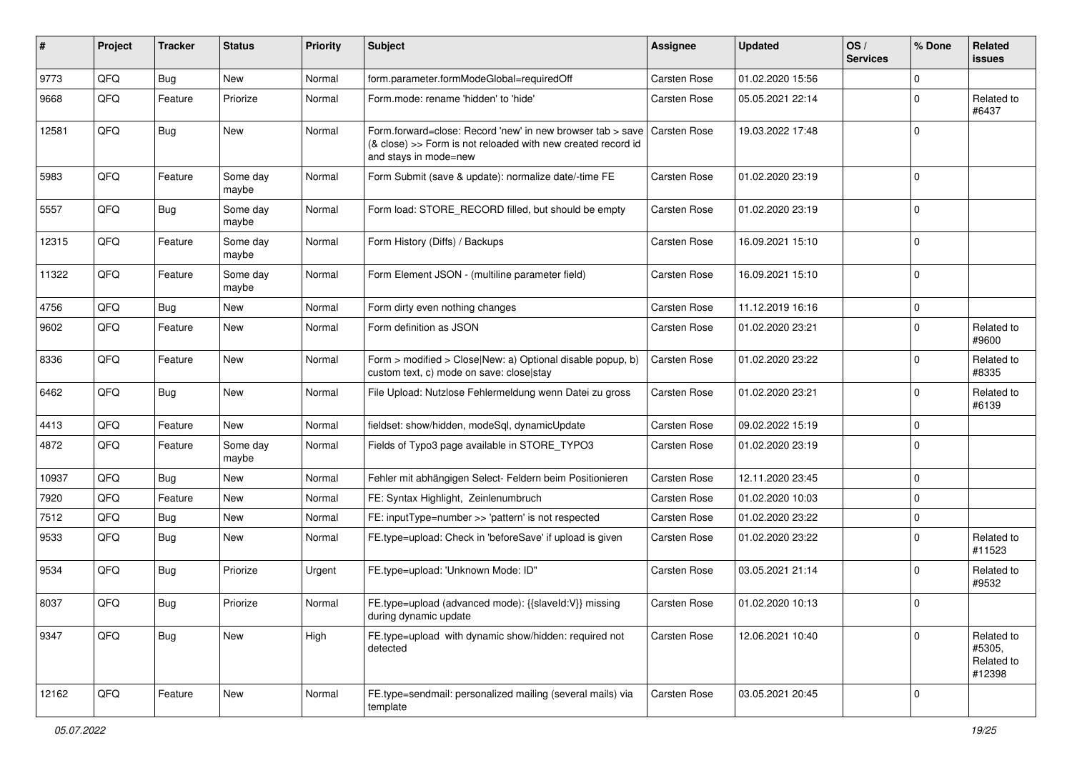| #     | Project | <b>Tracker</b> | <b>Status</b>     | <b>Priority</b> | <b>Subject</b>                                                                                                                                      | <b>Assignee</b>     | <b>Updated</b>   | OS/<br><b>Services</b> | % Done         | Related<br>issues                            |
|-------|---------|----------------|-------------------|-----------------|-----------------------------------------------------------------------------------------------------------------------------------------------------|---------------------|------------------|------------------------|----------------|----------------------------------------------|
| 9773  | QFQ     | Bug            | New               | Normal          | form.parameter.formModeGlobal=requiredOff                                                                                                           | <b>Carsten Rose</b> | 01.02.2020 15:56 |                        | $\Omega$       |                                              |
| 9668  | QFQ     | Feature        | Priorize          | Normal          | Form.mode: rename 'hidden' to 'hide'                                                                                                                | Carsten Rose        | 05.05.2021 22:14 |                        | $\Omega$       | Related to<br>#6437                          |
| 12581 | QFQ     | <b>Bug</b>     | New               | Normal          | Form.forward=close: Record 'new' in new browser tab > save<br>(& close) >> Form is not reloaded with new created record id<br>and stays in mode=new | <b>Carsten Rose</b> | 19.03.2022 17:48 |                        | $\mathbf 0$    |                                              |
| 5983  | QFQ     | Feature        | Some day<br>maybe | Normal          | Form Submit (save & update): normalize date/-time FE                                                                                                | <b>Carsten Rose</b> | 01.02.2020 23:19 |                        | $\mathbf 0$    |                                              |
| 5557  | QFQ     | <b>Bug</b>     | Some day<br>maybe | Normal          | Form load: STORE_RECORD filled, but should be empty                                                                                                 | <b>Carsten Rose</b> | 01.02.2020 23:19 |                        | $\mathbf 0$    |                                              |
| 12315 | QFQ     | Feature        | Some day<br>maybe | Normal          | Form History (Diffs) / Backups                                                                                                                      | <b>Carsten Rose</b> | 16.09.2021 15:10 |                        | $\Omega$       |                                              |
| 11322 | QFQ     | Feature        | Some day<br>maybe | Normal          | Form Element JSON - (multiline parameter field)                                                                                                     | Carsten Rose        | 16.09.2021 15:10 |                        | $\Omega$       |                                              |
| 4756  | QFQ     | Bug            | New               | Normal          | Form dirty even nothing changes                                                                                                                     | <b>Carsten Rose</b> | 11.12.2019 16:16 |                        | $\mathbf 0$    |                                              |
| 9602  | QFQ     | Feature        | <b>New</b>        | Normal          | Form definition as JSON                                                                                                                             | Carsten Rose        | 01.02.2020 23:21 |                        | $\Omega$       | Related to<br>#9600                          |
| 8336  | QFQ     | Feature        | New               | Normal          | Form > modified > Close New: a) Optional disable popup, b)<br>custom text, c) mode on save: close stay                                              | Carsten Rose        | 01.02.2020 23:22 |                        | 0              | Related to<br>#8335                          |
| 6462  | QFQ     | <b>Bug</b>     | New               | Normal          | File Upload: Nutzlose Fehlermeldung wenn Datei zu gross                                                                                             | Carsten Rose        | 01.02.2020 23:21 |                        | $\Omega$       | Related to<br>#6139                          |
| 4413  | QFQ     | Feature        | <b>New</b>        | Normal          | fieldset: show/hidden, modeSql, dynamicUpdate                                                                                                       | Carsten Rose        | 09.02.2022 15:19 |                        | $\mathbf 0$    |                                              |
| 4872  | QFQ     | Feature        | Some day<br>maybe | Normal          | Fields of Typo3 page available in STORE_TYPO3                                                                                                       | Carsten Rose        | 01.02.2020 23:19 |                        | $\mathbf 0$    |                                              |
| 10937 | QFQ     | Bug            | <b>New</b>        | Normal          | Fehler mit abhängigen Select- Feldern beim Positionieren                                                                                            | <b>Carsten Rose</b> | 12.11.2020 23:45 |                        | $\mathbf 0$    |                                              |
| 7920  | QFQ     | Feature        | New               | Normal          | FE: Syntax Highlight, Zeinlenumbruch                                                                                                                | <b>Carsten Rose</b> | 01.02.2020 10:03 |                        | 0              |                                              |
| 7512  | QFQ     | Bug            | New               | Normal          | FE: inputType=number >> 'pattern' is not respected                                                                                                  | Carsten Rose        | 01.02.2020 23:22 |                        | $\Omega$       |                                              |
| 9533  | QFQ     | Bug            | <b>New</b>        | Normal          | FE.type=upload: Check in 'beforeSave' if upload is given                                                                                            | Carsten Rose        | 01.02.2020 23:22 |                        | $\Omega$       | Related to<br>#11523                         |
| 9534  | QFQ     | Bug            | Priorize          | Urgent          | FE.type=upload: 'Unknown Mode: ID"                                                                                                                  | <b>Carsten Rose</b> | 03.05.2021 21:14 |                        | $\Omega$       | Related to<br>#9532                          |
| 8037  | QFQ     | <b>Bug</b>     | Priorize          | Normal          | FE.type=upload (advanced mode): {{slaveld:V}} missing<br>during dynamic update                                                                      | Carsten Rose        | 01.02.2020 10:13 |                        | $\overline{0}$ |                                              |
| 9347  | QFQ     | Bug            | New               | High            | FE.type=upload with dynamic show/hidden: required not<br>detected                                                                                   | Carsten Rose        | 12.06.2021 10:40 |                        | $\Omega$       | Related to<br>#5305,<br>Related to<br>#12398 |
| 12162 | QFQ     | Feature        | New               | Normal          | FE.type=sendmail: personalized mailing (several mails) via<br>template                                                                              | Carsten Rose        | 03.05.2021 20:45 |                        | $\mathbf 0$    |                                              |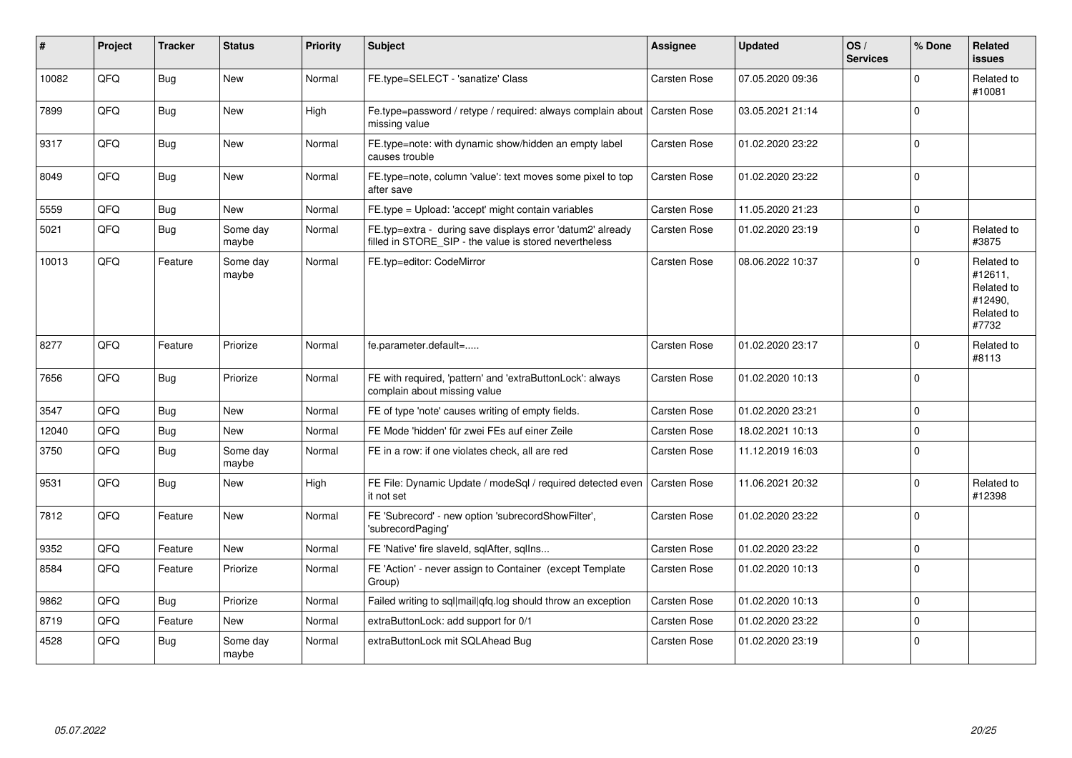| ∦     | Project | <b>Tracker</b> | <b>Status</b>     | <b>Priority</b> | <b>Subject</b>                                                                                                       | <b>Assignee</b>     | <b>Updated</b>   | OS/<br><b>Services</b> | % Done   | Related<br>issues                                                     |
|-------|---------|----------------|-------------------|-----------------|----------------------------------------------------------------------------------------------------------------------|---------------------|------------------|------------------------|----------|-----------------------------------------------------------------------|
| 10082 | QFQ     | <b>Bug</b>     | <b>New</b>        | Normal          | FE.type=SELECT - 'sanatize' Class                                                                                    | <b>Carsten Rose</b> | 07.05.2020 09:36 |                        | $\Omega$ | Related to<br>#10081                                                  |
| 7899  | QFQ     | Bug            | <b>New</b>        | High            | Fe.type=password / retype / required: always complain about<br>missing value                                         | <b>Carsten Rose</b> | 03.05.2021 21:14 |                        | $\Omega$ |                                                                       |
| 9317  | QFQ     | Bug            | <b>New</b>        | Normal          | FE.type=note: with dynamic show/hidden an empty label<br>causes trouble                                              | <b>Carsten Rose</b> | 01.02.2020 23:22 |                        | $\Omega$ |                                                                       |
| 8049  | QFQ     | <b>Bug</b>     | <b>New</b>        | Normal          | FE.type=note, column 'value': text moves some pixel to top<br>after save                                             | <b>Carsten Rose</b> | 01.02.2020 23:22 |                        | $\Omega$ |                                                                       |
| 5559  | QFQ     | Bug            | <b>New</b>        | Normal          | FE.type = Upload: 'accept' might contain variables                                                                   | <b>Carsten Rose</b> | 11.05.2020 21:23 |                        | $\Omega$ |                                                                       |
| 5021  | QFQ     | Bug            | Some day<br>maybe | Normal          | FE.typ=extra - during save displays error 'datum2' already<br>filled in STORE SIP - the value is stored nevertheless | Carsten Rose        | 01.02.2020 23:19 |                        | $\Omega$ | Related to<br>#3875                                                   |
| 10013 | QFQ     | Feature        | Some day<br>maybe | Normal          | FE.typ=editor: CodeMirror                                                                                            | Carsten Rose        | 08.06.2022 10:37 |                        | $\Omega$ | Related to<br>#12611,<br>Related to<br>#12490,<br>Related to<br>#7732 |
| 8277  | QFQ     | Feature        | Priorize          | Normal          | fe.parameter.default=                                                                                                | <b>Carsten Rose</b> | 01.02.2020 23:17 |                        | $\Omega$ | Related to<br>#8113                                                   |
| 7656  | QFQ     | <b>Bug</b>     | Priorize          | Normal          | FE with required, 'pattern' and 'extraButtonLock': always<br>complain about missing value                            | <b>Carsten Rose</b> | 01.02.2020 10:13 |                        | $\Omega$ |                                                                       |
| 3547  | QFQ     | <b>Bug</b>     | <b>New</b>        | Normal          | FE of type 'note' causes writing of empty fields.                                                                    | <b>Carsten Rose</b> | 01.02.2020 23:21 |                        | $\Omega$ |                                                                       |
| 12040 | QFQ     | <b>Bug</b>     | <b>New</b>        | Normal          | FE Mode 'hidden' für zwei FEs auf einer Zeile                                                                        | <b>Carsten Rose</b> | 18.02.2021 10:13 |                        | $\Omega$ |                                                                       |
| 3750  | QFQ     | Bug            | Some day<br>maybe | Normal          | FE in a row: if one violates check, all are red                                                                      | <b>Carsten Rose</b> | 11.12.2019 16:03 |                        | $\Omega$ |                                                                       |
| 9531  | QFQ     | <b>Bug</b>     | <b>New</b>        | High            | FE File: Dynamic Update / modeSql / required detected even<br>it not set                                             | <b>Carsten Rose</b> | 11.06.2021 20:32 |                        | $\Omega$ | Related to<br>#12398                                                  |
| 7812  | QFQ     | Feature        | <b>New</b>        | Normal          | FE 'Subrecord' - new option 'subrecordShowFilter',<br>'subrecordPaging'                                              | <b>Carsten Rose</b> | 01.02.2020 23:22 |                        | $\Omega$ |                                                                       |
| 9352  | QFQ     | Feature        | <b>New</b>        | Normal          | FE 'Native' fire slaveld, sqlAfter, sqlIns                                                                           | Carsten Rose        | 01.02.2020 23:22 |                        | $\Omega$ |                                                                       |
| 8584  | QFQ     | Feature        | Priorize          | Normal          | FE 'Action' - never assign to Container (except Template<br>Group)                                                   | <b>Carsten Rose</b> | 01.02.2020 10:13 |                        | $\Omega$ |                                                                       |
| 9862  | QFQ     | <b>Bug</b>     | Priorize          | Normal          | Failed writing to sql mail qfq.log should throw an exception                                                         | <b>Carsten Rose</b> | 01.02.2020 10:13 |                        | $\Omega$ |                                                                       |
| 8719  | QFQ     | Feature        | <b>New</b>        | Normal          | extraButtonLock: add support for 0/1                                                                                 | <b>Carsten Rose</b> | 01.02.2020 23:22 |                        | $\Omega$ |                                                                       |
| 4528  | QFQ     | Bug            | Some day<br>maybe | Normal          | extraButtonLock mit SQLAhead Bug                                                                                     | Carsten Rose        | 01.02.2020 23:19 |                        | $\Omega$ |                                                                       |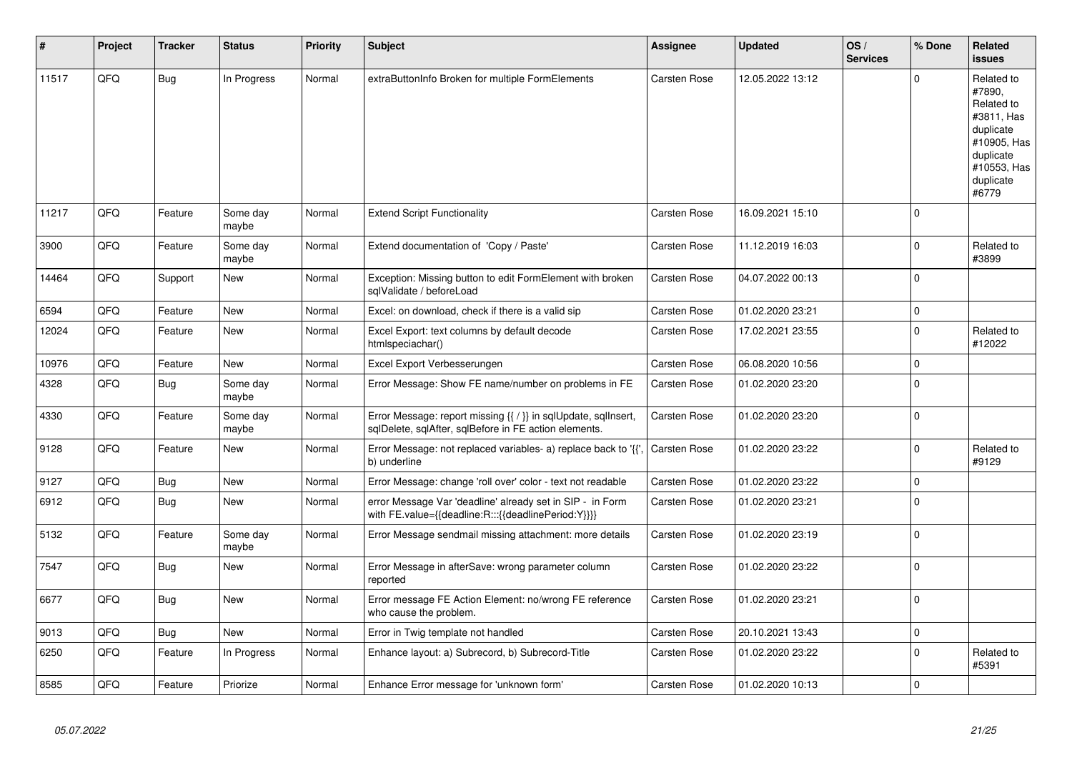| #     | Project | <b>Tracker</b> | <b>Status</b>     | <b>Priority</b> | <b>Subject</b>                                                                                                          | Assignee            | <b>Updated</b>   | OS/<br><b>Services</b> | % Done       | Related<br><b>issues</b>                                                                                                       |
|-------|---------|----------------|-------------------|-----------------|-------------------------------------------------------------------------------------------------------------------------|---------------------|------------------|------------------------|--------------|--------------------------------------------------------------------------------------------------------------------------------|
| 11517 | QFQ     | <b>Bug</b>     | In Progress       | Normal          | extraButtonInfo Broken for multiple FormElements                                                                        | Carsten Rose        | 12.05.2022 13:12 |                        | $\mathbf 0$  | Related to<br>#7890,<br>Related to<br>#3811, Has<br>duplicate<br>#10905, Has<br>duplicate<br>#10553, Has<br>duplicate<br>#6779 |
| 11217 | QFQ     | Feature        | Some day<br>maybe | Normal          | <b>Extend Script Functionality</b>                                                                                      | Carsten Rose        | 16.09.2021 15:10 |                        | $\Omega$     |                                                                                                                                |
| 3900  | QFQ     | Feature        | Some day<br>maybe | Normal          | Extend documentation of 'Copy / Paste'                                                                                  | Carsten Rose        | 11.12.2019 16:03 |                        | $\mathbf 0$  | Related to<br>#3899                                                                                                            |
| 14464 | QFQ     | Support        | New               | Normal          | Exception: Missing button to edit FormElement with broken<br>sqlValidate / beforeLoad                                   | <b>Carsten Rose</b> | 04.07.2022 00:13 |                        | $\mathbf 0$  |                                                                                                                                |
| 6594  | QFQ     | Feature        | New               | Normal          | Excel: on download, check if there is a valid sip                                                                       | Carsten Rose        | 01.02.2020 23:21 |                        | $\mathbf 0$  |                                                                                                                                |
| 12024 | QFQ     | Feature        | New               | Normal          | Excel Export: text columns by default decode<br>htmlspeciachar()                                                        | Carsten Rose        | 17.02.2021 23:55 |                        | $\mathbf 0$  | Related to<br>#12022                                                                                                           |
| 10976 | QFQ     | Feature        | New               | Normal          | Excel Export Verbesserungen                                                                                             | Carsten Rose        | 06.08.2020 10:56 |                        | $\mathbf{0}$ |                                                                                                                                |
| 4328  | QFQ     | <b>Bug</b>     | Some day<br>maybe | Normal          | Error Message: Show FE name/number on problems in FE                                                                    | Carsten Rose        | 01.02.2020 23:20 |                        | $\Omega$     |                                                                                                                                |
| 4330  | QFQ     | Feature        | Some day<br>maybe | Normal          | Error Message: report missing {{ / }} in sqlUpdate, sqlInsert,<br>sqlDelete, sqlAfter, sqlBefore in FE action elements. | Carsten Rose        | 01.02.2020 23:20 |                        | $\Omega$     |                                                                                                                                |
| 9128  | QFQ     | Feature        | New               | Normal          | Error Message: not replaced variables- a) replace back to '{',<br>b) underline                                          | Carsten Rose        | 01.02.2020 23:22 |                        | $\mathbf{0}$ | Related to<br>#9129                                                                                                            |
| 9127  | QFQ     | <b>Bug</b>     | <b>New</b>        | Normal          | Error Message: change 'roll over' color - text not readable                                                             | Carsten Rose        | 01.02.2020 23:22 |                        | $\pmb{0}$    |                                                                                                                                |
| 6912  | QFQ     | <b>Bug</b>     | <b>New</b>        | Normal          | error Message Var 'deadline' already set in SIP - in Form<br>with FE.value={{deadline:R:::{{deadlinePeriod:Y}}}}        | Carsten Rose        | 01.02.2020 23:21 |                        | $\Omega$     |                                                                                                                                |
| 5132  | QFQ     | Feature        | Some day<br>maybe | Normal          | Error Message sendmail missing attachment: more details                                                                 | Carsten Rose        | 01.02.2020 23:19 |                        | $\Omega$     |                                                                                                                                |
| 7547  | QFQ     | Bug            | New               | Normal          | Error Message in afterSave: wrong parameter column<br>reported                                                          | Carsten Rose        | 01.02.2020 23:22 |                        | $\mathbf 0$  |                                                                                                                                |
| 6677  | QFQ     | Bug            | New               | Normal          | Error message FE Action Element: no/wrong FE reference<br>who cause the problem.                                        | Carsten Rose        | 01.02.2020 23:21 |                        | $\mathbf 0$  |                                                                                                                                |
| 9013  | QFQ     | Bug            | New               | Normal          | Error in Twig template not handled                                                                                      | Carsten Rose        | 20.10.2021 13:43 |                        | $\mathbf{0}$ |                                                                                                                                |
| 6250  | QFQ     | Feature        | In Progress       | Normal          | Enhance layout: a) Subrecord, b) Subrecord-Title                                                                        | Carsten Rose        | 01.02.2020 23:22 |                        | $\Omega$     | Related to<br>#5391                                                                                                            |
| 8585  | QFQ     | Feature        | Priorize          | Normal          | Enhance Error message for 'unknown form'                                                                                | Carsten Rose        | 01.02.2020 10:13 |                        | $\Omega$     |                                                                                                                                |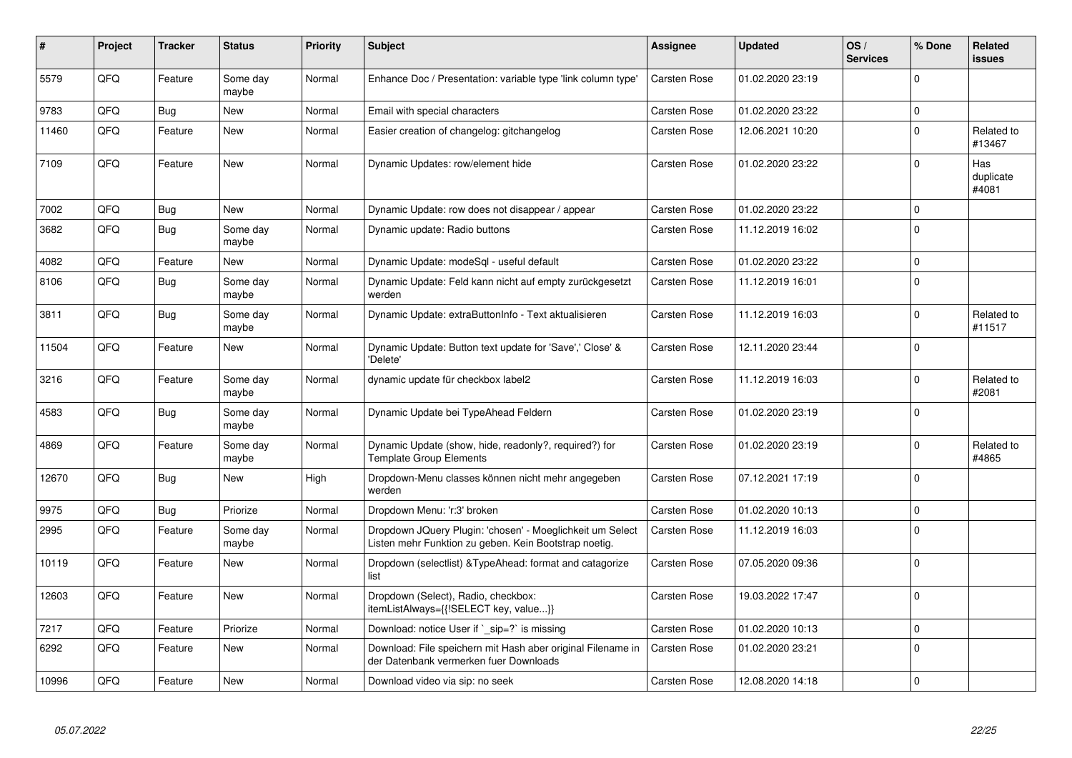| #     | Project | <b>Tracker</b> | <b>Status</b>     | <b>Priority</b> | <b>Subject</b>                                                                                                     | <b>Assignee</b>     | <b>Updated</b>   | OS/<br><b>Services</b> | % Done      | Related<br>issues         |
|-------|---------|----------------|-------------------|-----------------|--------------------------------------------------------------------------------------------------------------------|---------------------|------------------|------------------------|-------------|---------------------------|
| 5579  | QFQ     | Feature        | Some day<br>maybe | Normal          | Enhance Doc / Presentation: variable type 'link column type'                                                       | <b>Carsten Rose</b> | 01.02.2020 23:19 |                        | $\Omega$    |                           |
| 9783  | QFQ     | <b>Bug</b>     | <b>New</b>        | Normal          | Email with special characters                                                                                      | Carsten Rose        | 01.02.2020 23:22 |                        | $\Omega$    |                           |
| 11460 | QFQ     | Feature        | New               | Normal          | Easier creation of changelog: gitchangelog                                                                         | Carsten Rose        | 12.06.2021 10:20 |                        | $\Omega$    | Related to<br>#13467      |
| 7109  | QFQ     | Feature        | <b>New</b>        | Normal          | Dynamic Updates: row/element hide                                                                                  | Carsten Rose        | 01.02.2020 23:22 |                        | $\Omega$    | Has<br>duplicate<br>#4081 |
| 7002  | QFQ     | Bug            | <b>New</b>        | Normal          | Dynamic Update: row does not disappear / appear                                                                    | Carsten Rose        | 01.02.2020 23:22 |                        | $\Omega$    |                           |
| 3682  | QFQ     | <b>Bug</b>     | Some day<br>maybe | Normal          | Dynamic update: Radio buttons                                                                                      | Carsten Rose        | 11.12.2019 16:02 |                        | $\Omega$    |                           |
| 4082  | QFQ     | Feature        | <b>New</b>        | Normal          | Dynamic Update: modeSql - useful default                                                                           | Carsten Rose        | 01.02.2020 23:22 |                        | $\Omega$    |                           |
| 8106  | QFQ     | Bug            | Some day<br>maybe | Normal          | Dynamic Update: Feld kann nicht auf empty zurückgesetzt<br>werden                                                  | Carsten Rose        | 11.12.2019 16:01 |                        | $\Omega$    |                           |
| 3811  | QFQ     | <b>Bug</b>     | Some day<br>maybe | Normal          | Dynamic Update: extraButtonInfo - Text aktualisieren                                                               | Carsten Rose        | 11.12.2019 16:03 |                        | $\Omega$    | Related to<br>#11517      |
| 11504 | QFQ     | Feature        | <b>New</b>        | Normal          | Dynamic Update: Button text update for 'Save',' Close' &<br>'Delete'                                               | Carsten Rose        | 12.11.2020 23:44 |                        | $\Omega$    |                           |
| 3216  | QFQ     | Feature        | Some day<br>maybe | Normal          | dynamic update für checkbox label2                                                                                 | Carsten Rose        | 11.12.2019 16:03 |                        | $\Omega$    | Related to<br>#2081       |
| 4583  | QFQ     | Bug            | Some day<br>maybe | Normal          | Dynamic Update bei TypeAhead Feldern                                                                               | Carsten Rose        | 01.02.2020 23:19 |                        | $\Omega$    |                           |
| 4869  | QFQ     | Feature        | Some day<br>maybe | Normal          | Dynamic Update (show, hide, readonly?, required?) for<br><b>Template Group Elements</b>                            | Carsten Rose        | 01.02.2020 23:19 |                        | $\Omega$    | Related to<br>#4865       |
| 12670 | QFQ     | Bug            | <b>New</b>        | High            | Dropdown-Menu classes können nicht mehr angegeben<br>werden                                                        | Carsten Rose        | 07.12.2021 17:19 |                        | $\mathbf 0$ |                           |
| 9975  | QFQ     | <b>Bug</b>     | Priorize          | Normal          | Dropdown Menu: 'r:3' broken                                                                                        | Carsten Rose        | 01.02.2020 10:13 |                        | $\Omega$    |                           |
| 2995  | QFQ     | Feature        | Some day<br>maybe | Normal          | Dropdown JQuery Plugin: 'chosen' - Moeglichkeit um Select<br>Listen mehr Funktion zu geben. Kein Bootstrap noetig. | <b>Carsten Rose</b> | 11.12.2019 16:03 |                        | $\Omega$    |                           |
| 10119 | QFQ     | Feature        | New               | Normal          | Dropdown (selectlist) & Type Ahead: format and catagorize<br>list                                                  | Carsten Rose        | 07.05.2020 09:36 |                        | $\Omega$    |                           |
| 12603 | QFQ     | Feature        | New               | Normal          | Dropdown (Select), Radio, checkbox:<br>itemListAlways={{!SELECT key, value}}                                       | Carsten Rose        | 19.03.2022 17:47 |                        | 0           |                           |
| 7217  | QFQ     | Feature        | Priorize          | Normal          | Download: notice User if `_sip=?` is missing                                                                       | Carsten Rose        | 01.02.2020 10:13 |                        | $\Omega$    |                           |
| 6292  | QFQ     | Feature        | New               | Normal          | Download: File speichern mit Hash aber original Filename in<br>der Datenbank vermerken fuer Downloads              | <b>Carsten Rose</b> | 01.02.2020 23:21 |                        | $\mathbf 0$ |                           |
| 10996 | QFQ     | Feature        | New               | Normal          | Download video via sip: no seek                                                                                    | Carsten Rose        | 12.08.2020 14:18 |                        | $\Omega$    |                           |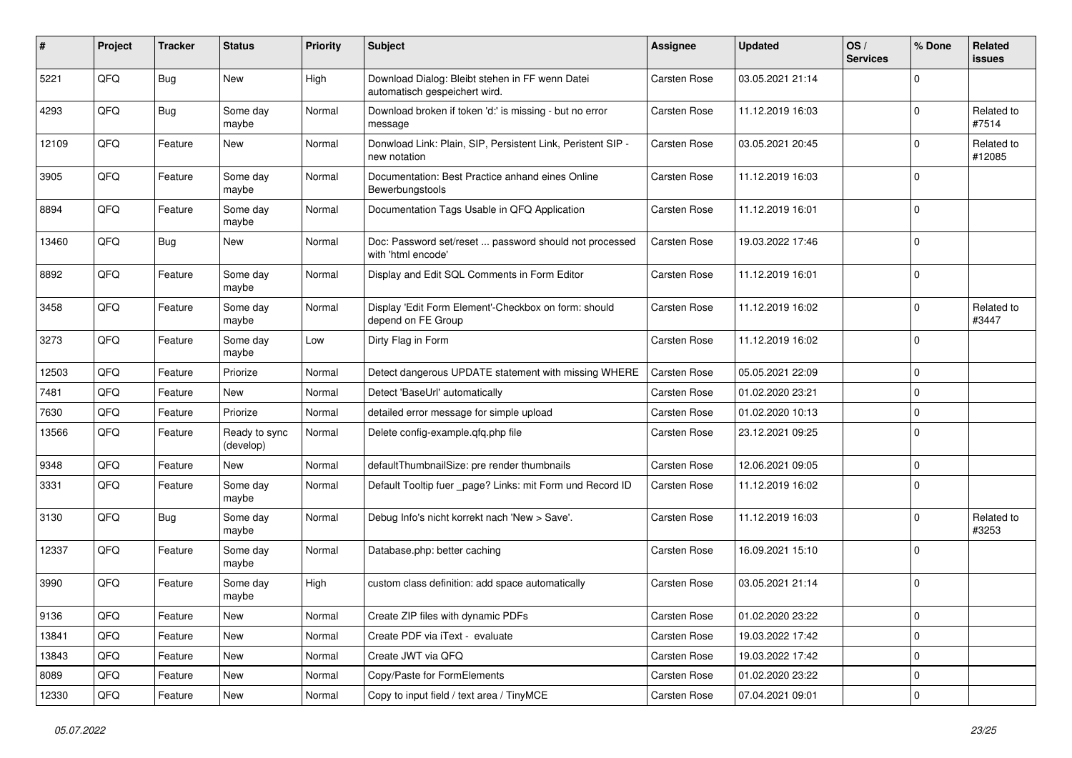| #     | Project | <b>Tracker</b> | <b>Status</b>              | <b>Priority</b> | <b>Subject</b>                                                                   | <b>Assignee</b>     | <b>Updated</b>   | OS/<br><b>Services</b> | % Done      | Related<br>issues    |
|-------|---------|----------------|----------------------------|-----------------|----------------------------------------------------------------------------------|---------------------|------------------|------------------------|-------------|----------------------|
| 5221  | QFQ     | Bug            | New                        | High            | Download Dialog: Bleibt stehen in FF wenn Datei<br>automatisch gespeichert wird. | <b>Carsten Rose</b> | 03.05.2021 21:14 |                        | $\Omega$    |                      |
| 4293  | QFQ     | <b>Bug</b>     | Some day<br>maybe          | Normal          | Download broken if token 'd:' is missing - but no error<br>message               | <b>Carsten Rose</b> | 11.12.2019 16:03 |                        | $\mathbf 0$ | Related to<br>#7514  |
| 12109 | QFQ     | Feature        | New                        | Normal          | Donwload Link: Plain, SIP, Persistent Link, Peristent SIP -<br>new notation      | <b>Carsten Rose</b> | 03.05.2021 20:45 |                        | $\mathbf 0$ | Related to<br>#12085 |
| 3905  | QFQ     | Feature        | Some day<br>maybe          | Normal          | Documentation: Best Practice anhand eines Online<br>Bewerbungstools              | Carsten Rose        | 11.12.2019 16:03 |                        | $\mathbf 0$ |                      |
| 8894  | QFQ     | Feature        | Some day<br>maybe          | Normal          | Documentation Tags Usable in QFQ Application                                     | <b>Carsten Rose</b> | 11.12.2019 16:01 |                        | $\mathbf 0$ |                      |
| 13460 | QFQ     | Bug            | New                        | Normal          | Doc: Password set/reset  password should not processed<br>with 'html encode'     | <b>Carsten Rose</b> | 19.03.2022 17:46 |                        | $\Omega$    |                      |
| 8892  | QFQ     | Feature        | Some day<br>maybe          | Normal          | Display and Edit SQL Comments in Form Editor                                     | <b>Carsten Rose</b> | 11.12.2019 16:01 |                        | $\mathbf 0$ |                      |
| 3458  | QFQ     | Feature        | Some day<br>maybe          | Normal          | Display 'Edit Form Element'-Checkbox on form: should<br>depend on FE Group       | Carsten Rose        | 11.12.2019 16:02 |                        | $\mathbf 0$ | Related to<br>#3447  |
| 3273  | QFQ     | Feature        | Some day<br>maybe          | Low             | Dirty Flag in Form                                                               | <b>Carsten Rose</b> | 11.12.2019 16:02 |                        | $\mathbf 0$ |                      |
| 12503 | QFQ     | Feature        | Priorize                   | Normal          | Detect dangerous UPDATE statement with missing WHERE                             | <b>Carsten Rose</b> | 05.05.2021 22:09 |                        | $\mathbf 0$ |                      |
| 7481  | QFQ     | Feature        | New                        | Normal          | Detect 'BaseUrl' automatically                                                   | Carsten Rose        | 01.02.2020 23:21 |                        | $\mathbf 0$ |                      |
| 7630  | QFQ     | Feature        | Priorize                   | Normal          | detailed error message for simple upload                                         | <b>Carsten Rose</b> | 01.02.2020 10:13 |                        | $\mathbf 0$ |                      |
| 13566 | QFQ     | Feature        | Ready to sync<br>(develop) | Normal          | Delete config-example.gfg.php file                                               | <b>Carsten Rose</b> | 23.12.2021 09:25 |                        | $\mathbf 0$ |                      |
| 9348  | QFQ     | Feature        | <b>New</b>                 | Normal          | defaultThumbnailSize: pre render thumbnails                                      | <b>Carsten Rose</b> | 12.06.2021 09:05 |                        | $\mathbf 0$ |                      |
| 3331  | QFQ     | Feature        | Some day<br>maybe          | Normal          | Default Tooltip fuer _page? Links: mit Form und Record ID                        | <b>Carsten Rose</b> | 11.12.2019 16:02 |                        | $\Omega$    |                      |
| 3130  | QFQ     | Bug            | Some day<br>maybe          | Normal          | Debug Info's nicht korrekt nach 'New > Save'.                                    | Carsten Rose        | 11.12.2019 16:03 |                        | $\mathbf 0$ | Related to<br>#3253  |
| 12337 | QFQ     | Feature        | Some day<br>maybe          | Normal          | Database.php: better caching                                                     | Carsten Rose        | 16.09.2021 15:10 |                        | $\mathbf 0$ |                      |
| 3990  | QFQ     | Feature        | Some day<br>maybe          | High            | custom class definition: add space automatically                                 | <b>Carsten Rose</b> | 03.05.2021 21:14 |                        | 0           |                      |
| 9136  | QFQ     | Feature        | New                        | Normal          | Create ZIP files with dynamic PDFs                                               | Carsten Rose        | 01.02.2020 23:22 |                        | 0           |                      |
| 13841 | QFQ     | Feature        | New                        | Normal          | Create PDF via iText - evaluate                                                  | Carsten Rose        | 19.03.2022 17:42 |                        | $\mathbf 0$ |                      |
| 13843 | QFQ     | Feature        | New                        | Normal          | Create JWT via QFQ                                                               | Carsten Rose        | 19.03.2022 17:42 |                        | $\mathbf 0$ |                      |
| 8089  | QFQ     | Feature        | New                        | Normal          | Copy/Paste for FormElements                                                      | Carsten Rose        | 01.02.2020 23:22 |                        | $\mathbf 0$ |                      |
| 12330 | QFQ     | Feature        | New                        | Normal          | Copy to input field / text area / TinyMCE                                        | Carsten Rose        | 07.04.2021 09:01 |                        | 0           |                      |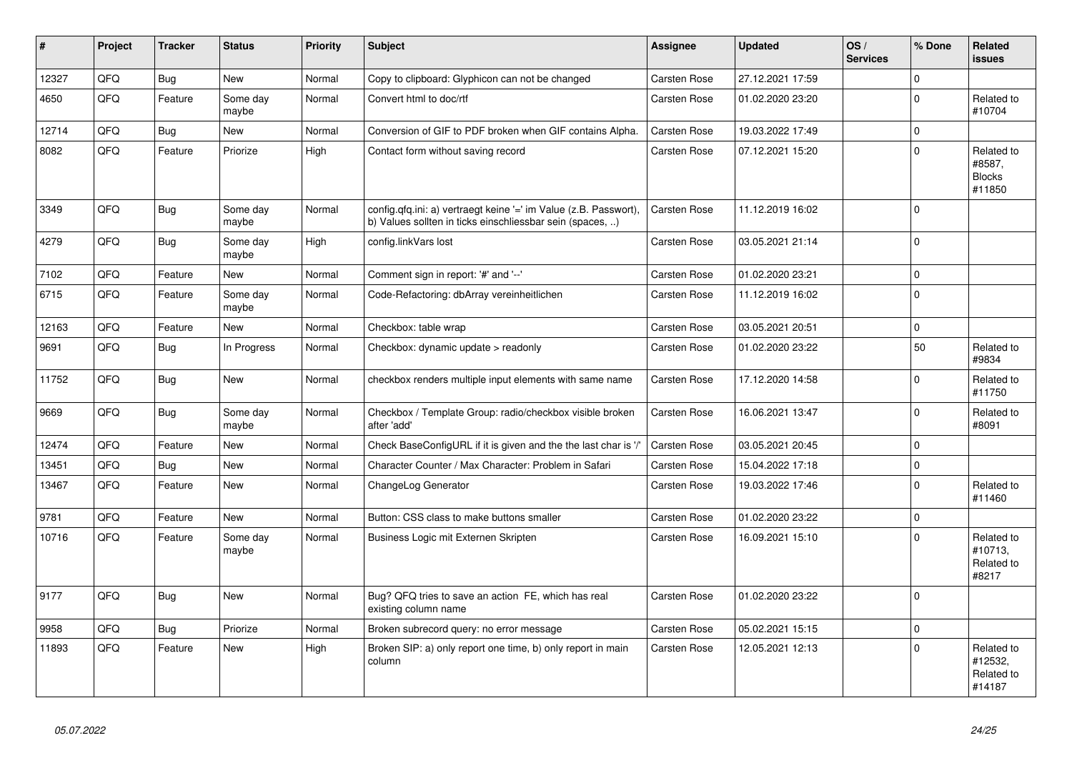| #     | Project | <b>Tracker</b> | <b>Status</b>     | <b>Priority</b> | <b>Subject</b>                                                                                                                | <b>Assignee</b>     | <b>Updated</b>   | OS/<br><b>Services</b> | % Done         | Related<br><b>issues</b>                        |
|-------|---------|----------------|-------------------|-----------------|-------------------------------------------------------------------------------------------------------------------------------|---------------------|------------------|------------------------|----------------|-------------------------------------------------|
| 12327 | QFQ     | <b>Bug</b>     | <b>New</b>        | Normal          | Copy to clipboard: Glyphicon can not be changed                                                                               | <b>Carsten Rose</b> | 27.12.2021 17:59 |                        | $\Omega$       |                                                 |
| 4650  | QFQ     | Feature        | Some day<br>maybe | Normal          | Convert html to doc/rtf                                                                                                       | <b>Carsten Rose</b> | 01.02.2020 23:20 |                        | $\Omega$       | Related to<br>#10704                            |
| 12714 | QFQ     | <b>Bug</b>     | <b>New</b>        | Normal          | Conversion of GIF to PDF broken when GIF contains Alpha.                                                                      | <b>Carsten Rose</b> | 19.03.2022 17:49 |                        | $\Omega$       |                                                 |
| 8082  | QFQ     | Feature        | Priorize          | High            | Contact form without saving record                                                                                            | <b>Carsten Rose</b> | 07.12.2021 15:20 |                        | $\Omega$       | Related to<br>#8587,<br><b>Blocks</b><br>#11850 |
| 3349  | QFQ     | Bug            | Some day<br>maybe | Normal          | config.qfq.ini: a) vertraegt keine '=' im Value (z.B. Passwort),<br>b) Values sollten in ticks einschliessbar sein (spaces, ) | <b>Carsten Rose</b> | 11.12.2019 16:02 |                        | $\Omega$       |                                                 |
| 4279  | QFQ     | <b>Bug</b>     | Some day<br>maybe | High            | config.linkVars lost                                                                                                          | <b>Carsten Rose</b> | 03.05.2021 21:14 |                        | $\Omega$       |                                                 |
| 7102  | QFQ     | Feature        | <b>New</b>        | Normal          | Comment sign in report: '#' and '--'                                                                                          | Carsten Rose        | 01.02.2020 23:21 |                        | $\overline{0}$ |                                                 |
| 6715  | QFQ     | Feature        | Some day<br>maybe | Normal          | Code-Refactoring: dbArray vereinheitlichen                                                                                    | Carsten Rose        | 11.12.2019 16:02 |                        | $\Omega$       |                                                 |
| 12163 | QFQ     | Feature        | <b>New</b>        | Normal          | Checkbox: table wrap                                                                                                          | <b>Carsten Rose</b> | 03.05.2021 20:51 |                        | $\Omega$       |                                                 |
| 9691  | QFQ     | Bug            | In Progress       | Normal          | Checkbox: dynamic update $>$ readonly                                                                                         | <b>Carsten Rose</b> | 01.02.2020 23:22 |                        | 50             | Related to<br>#9834                             |
| 11752 | QFQ     | Bug            | <b>New</b>        | Normal          | checkbox renders multiple input elements with same name                                                                       | <b>Carsten Rose</b> | 17.12.2020 14:58 |                        | $\Omega$       | Related to<br>#11750                            |
| 9669  | QFQ     | <b>Bug</b>     | Some day<br>maybe | Normal          | Checkbox / Template Group: radio/checkbox visible broken<br>after 'add'                                                       | Carsten Rose        | 16.06.2021 13:47 |                        | $\Omega$       | Related to<br>#8091                             |
| 12474 | QFQ     | Feature        | <b>New</b>        | Normal          | Check BaseConfigURL if it is given and the the last char is '/'                                                               | <b>Carsten Rose</b> | 03.05.2021 20:45 |                        | $\Omega$       |                                                 |
| 13451 | QFQ     | <b>Bug</b>     | <b>New</b>        | Normal          | Character Counter / Max Character: Problem in Safari                                                                          | <b>Carsten Rose</b> | 15.04.2022 17:18 |                        | $\Omega$       |                                                 |
| 13467 | QFQ     | Feature        | <b>New</b>        | Normal          | ChangeLog Generator                                                                                                           | Carsten Rose        | 19.03.2022 17:46 |                        | $\Omega$       | Related to<br>#11460                            |
| 9781  | QFQ     | Feature        | <b>New</b>        | Normal          | Button: CSS class to make buttons smaller                                                                                     | <b>Carsten Rose</b> | 01.02.2020 23:22 |                        | $\Omega$       |                                                 |
| 10716 | QFQ     | Feature        | Some day<br>maybe | Normal          | Business Logic mit Externen Skripten                                                                                          | <b>Carsten Rose</b> | 16.09.2021 15:10 |                        | $\Omega$       | Related to<br>#10713,<br>Related to<br>#8217    |
| 9177  | QFQ     | Bug            | <b>New</b>        | Normal          | Bug? QFQ tries to save an action FE, which has real<br>existing column name                                                   | <b>Carsten Rose</b> | 01.02.2020 23:22 |                        | $\Omega$       |                                                 |
| 9958  | QFQ     | Bug            | Priorize          | Normal          | Broken subrecord query: no error message                                                                                      | <b>Carsten Rose</b> | 05.02.2021 15:15 |                        | $\Omega$       |                                                 |
| 11893 | QFQ     | Feature        | <b>New</b>        | High            | Broken SIP: a) only report one time, b) only report in main<br>column                                                         | Carsten Rose        | 12.05.2021 12:13 |                        | $\Omega$       | Related to<br>#12532,<br>Related to<br>#14187   |